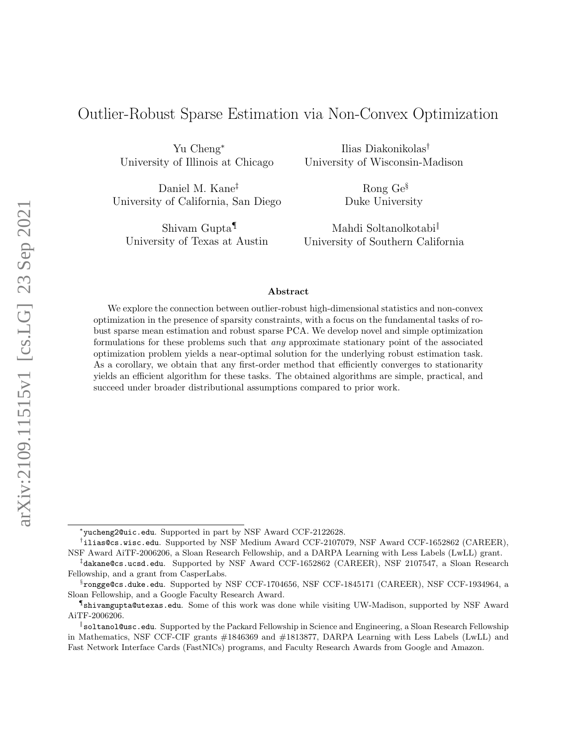# Outlier-Robust Sparse Estimation via Non-Convex Optimization

Yu Cheng<sup>∗</sup> University of Illinois at Chicago

Daniel M. Kane‡ University of California, San Diego

Shivam Gupta¶ University of Texas at Austin

Ilias Diakonikolas† University of Wisconsin-Madison

> Rong Ge§ Duke University

Mahdi Soltanolkotabi‖ University of Southern California

#### Abstract

We explore the connection between outlier-robust high-dimensional statistics and non-convex optimization in the presence of sparsity constraints, with a focus on the fundamental tasks of robust sparse mean estimation and robust sparse PCA. We develop novel and simple optimization formulations for these problems such that any approximate stationary point of the associated optimization problem yields a near-optimal solution for the underlying robust estimation task. As a corollary, we obtain that any first-order method that efficiently converges to stationarity yields an efficient algorithm for these tasks. The obtained algorithms are simple, practical, and succeed under broader distributional assumptions compared to prior work.

<sup>∗</sup> yucheng2@uic.edu. Supported in part by NSF Award CCF-2122628.

<sup>†</sup> ilias@cs.wisc.edu. Supported by NSF Medium Award CCF-2107079, NSF Award CCF-1652862 (CAREER), NSF Award AiTF-2006206, a Sloan Research Fellowship, and a DARPA Learning with Less Labels (LwLL) grant.

<sup>‡</sup> dakane@cs.ucsd.edu. Supported by NSF Award CCF-1652862 (CAREER), NSF 2107547, a Sloan Research Fellowship, and a grant from CasperLabs.

 $^{\S}$ rongge@cs.duke.edu. Supported by NSF CCF-1704656, NSF CCF-1845171 (CAREER), NSF CCF-1934964, a Sloan Fellowship, and a Google Faculty Research Award.

<sup>¶</sup> shivamgupta@utexas.edu. Some of this work was done while visiting UW-Madison, supported by NSF Award AiTF-2006206.

<sup>‖</sup> soltanol@usc.edu. Supported by the Packard Fellowship in Science and Engineering, a Sloan Research Fellowship in Mathematics, NSF CCF-CIF grants #1846369 and #1813877, DARPA Learning with Less Labels (LwLL) and Fast Network Interface Cards (FastNICs) programs, and Faculty Research Awards from Google and Amazon.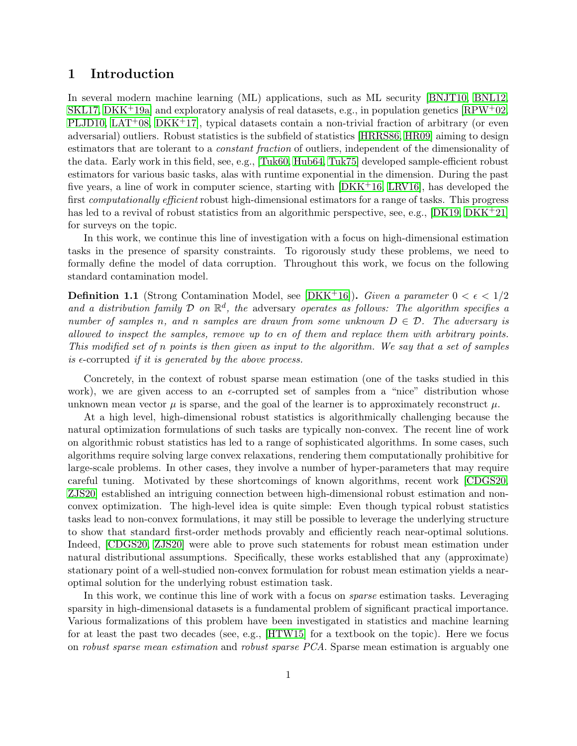### 1 Introduction

In several modern machine learning (ML) applications, such as ML security [\[BNJT10,](#page-13-0) [BNL12,](#page-13-1) [SKL17,](#page-14-0) [DKK](#page-13-2)<sup>+</sup>19a] and exploratory analysis of real datasets, e.g., in population genetics  $\text{RPW}^+02$ , [PLJD10,](#page-14-2)  $LAT^{+}08$ ,  $DKK^{+}17$ , typical datasets contain a non-trivial fraction of arbitrary (or even adversarial) outliers. Robust statistics is the subfield of statistics [\[HRRS86,](#page-14-4) [HR09\]](#page-14-5) aiming to design estimators that are tolerant to a *constant fraction* of outliers, independent of the dimensionality of the data. Early work in this field, see, e.g., [\[Tuk60,](#page-15-0) [Hub64,](#page-14-6) [Tuk75\]](#page-15-1) developed sample-efficient robust estimators for various basic tasks, alas with runtime exponential in the dimension. During the past five years, a line of work in computer science, starting with [\[DKK](#page-13-4)+16, [LRV16\]](#page-14-7), has developed the first *computationally efficient* robust high-dimensional estimators for a range of tasks. This progress has led to a revival of robust statistics from an algorithmic perspective, see, e.g., [\[DK19,](#page-13-5) [DKK](#page-14-8)+21] for surveys on the topic.

In this work, we continue this line of investigation with a focus on high-dimensional estimation tasks in the presence of sparsity constraints. To rigorously study these problems, we need to formally define the model of data corruption. Throughout this work, we focus on the following standard contamination model.

**Definition 1.1** (Strong Contamination Model, see [\[DKK](#page-13-4)<sup>+</sup>16]). Given a parameter  $0 < \epsilon < 1/2$ and a distribution family  $\mathcal D$  on  $\mathbb R^d$ , the adversary operates as follows: The algorithm specifies a number of samples n, and n samples are drawn from some unknown  $D \in \mathcal{D}$ . The adversary is allowed to inspect the samples, remove up to  $\epsilon n$  of them and replace them with arbitrary points. This modified set of n points is then given as input to the algorithm. We say that a set of samples is  $\epsilon$ -corrupted if it is generated by the above process.

Concretely, in the context of robust sparse mean estimation (one of the tasks studied in this work), we are given access to an  $\epsilon$ -corrupted set of samples from a "nice" distribution whose unknown mean vector  $\mu$  is sparse, and the goal of the learner is to approximately reconstruct  $\mu$ .

At a high level, high-dimensional robust statistics is algorithmically challenging because the natural optimization formulations of such tasks are typically non-convex. The recent line of work on algorithmic robust statistics has led to a range of sophisticated algorithms. In some cases, such algorithms require solving large convex relaxations, rendering them computationally prohibitive for large-scale problems. In other cases, they involve a number of hyper-parameters that may require careful tuning. Motivated by these shortcomings of known algorithms, recent work [\[CDGS20,](#page-13-6) [ZJS20\]](#page-15-2) established an intriguing connection between high-dimensional robust estimation and nonconvex optimization. The high-level idea is quite simple: Even though typical robust statistics tasks lead to non-convex formulations, it may still be possible to leverage the underlying structure to show that standard first-order methods provably and efficiently reach near-optimal solutions. Indeed, [\[CDGS20,](#page-13-6) [ZJS20\]](#page-15-2) were able to prove such statements for robust mean estimation under natural distributional assumptions. Specifically, these works established that any (approximate) stationary point of a well-studied non-convex formulation for robust mean estimation yields a nearoptimal solution for the underlying robust estimation task.

In this work, we continue this line of work with a focus on *sparse* estimation tasks. Leveraging sparsity in high-dimensional datasets is a fundamental problem of significant practical importance. Various formalizations of this problem have been investigated in statistics and machine learning for at least the past two decades (see, e.g., [\[HTW15\]](#page-14-9) for a textbook on the topic). Here we focus on robust sparse mean estimation and robust sparse PCA. Sparse mean estimation is arguably one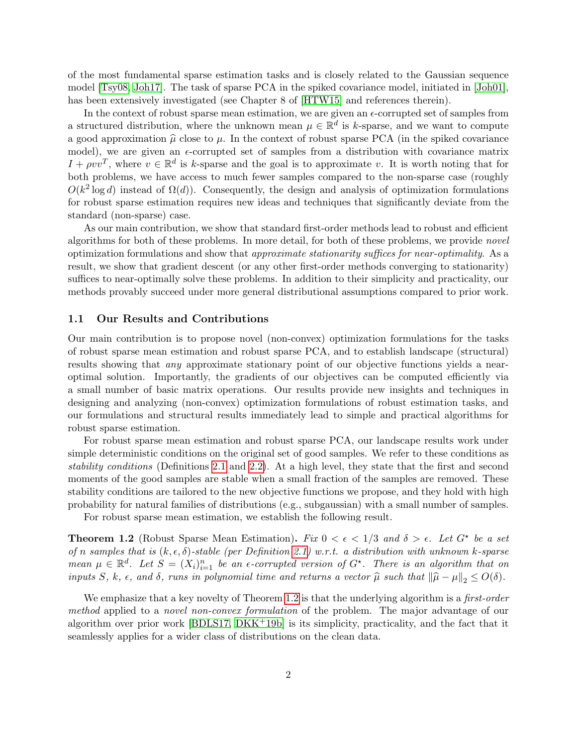of the most fundamental sparse estimation tasks and is closely related to the Gaussian sequence model [\[Tsy08,](#page-15-3) [Joh17\]](#page-14-10). The task of sparse PCA in the spiked covariance model, initiated in [\[Joh01\]](#page-14-11), has been extensively investigated (see Chapter 8 of [\[HTW15\]](#page-14-9) and references therein).

In the context of robust sparse mean estimation, we are given an  $\epsilon$ -corrupted set of samples from a structured distribution, where the unknown mean  $\mu \in \mathbb{R}^d$  is k-sparse, and we want to compute a good approximation  $\hat{\mu}$  close to  $\mu$ . In the context of robust sparse PCA (in the spiked covariance model), we are given an  $\epsilon$ -corrupted set of samples from a distribution with covariance matrix  $I + \rho v v^T$ , where  $v \in \mathbb{R}^d$  is k-sparse and the goal is to approximate v. It is worth noting that for both problems, we have access to much fewer samples compared to the non-sparse case (roughly  $O(k^2 \log d)$  instead of  $\Omega(d)$ ). Consequently, the design and analysis of optimization formulations for robust sparse estimation requires new ideas and techniques that significantly deviate from the standard (non-sparse) case.

As our main contribution, we show that standard first-order methods lead to robust and efficient algorithms for both of these problems. In more detail, for both of these problems, we provide novel optimization formulations and show that approximate stationarity suffices for near-optimality. As a result, we show that gradient descent (or any other first-order methods converging to stationarity) suffices to near-optimally solve these problems. In addition to their simplicity and practicality, our methods provably succeed under more general distributional assumptions compared to prior work.

#### 1.1 Our Results and Contributions

Our main contribution is to propose novel (non-convex) optimization formulations for the tasks of robust sparse mean estimation and robust sparse PCA, and to establish landscape (structural) results showing that *any* approximate stationary point of our objective functions yields a nearoptimal solution. Importantly, the gradients of our objectives can be computed efficiently via a small number of basic matrix operations. Our results provide new insights and techniques in designing and analyzing (non-convex) optimization formulations of robust estimation tasks, and our formulations and structural results immediately lead to simple and practical algorithms for robust sparse estimation.

For robust sparse mean estimation and robust sparse PCA, our landscape results work under simple deterministic conditions on the original set of good samples. We refer to these conditions as stability conditions (Definitions [2.1](#page-5-0) and [2.2\)](#page-6-0). At a high level, they state that the first and second moments of the good samples are stable when a small fraction of the samples are removed. These stability conditions are tailored to the new objective functions we propose, and they hold with high probability for natural families of distributions (e.g., subgaussian) with a small number of samples.

For robust sparse mean estimation, we establish the following result.

<span id="page-2-0"></span>**Theorem 1.2** (Robust Sparse Mean Estimation). Fix  $0 < \epsilon < 1/3$  and  $\delta > \epsilon$ . Let  $G^*$  be a set of n samples that is  $(k, \epsilon, \delta)$ -stable (per Definition [2.1\)](#page-5-0) w.r.t. a distribution with unknown k-sparse mean  $\mu \in \mathbb{R}^d$ . Let  $S = (X_i)_{i=1}^n$  be an  $\epsilon$ -corrupted version of  $G^*$ . There is an algorithm that on inputs S, k,  $\epsilon$ , and  $\delta$ , runs in polynomial time and returns a vector  $\hat{\mu}$  such that  $\|\hat{\mu} - \mu\|_2 \leq O(\delta)$ .

We emphasize that a key novelty of Theorem [1.2](#page-2-0) is that the underlying algorithm is a *first-order* method applied to a *novel non-convex formulation* of the problem. The major advantage of our algorithm over prior work [\[BDLS17,](#page-13-7)  $DKK^+19b$ ] is its simplicity, practicality, and the fact that it seamlessly applies for a wider class of distributions on the clean data.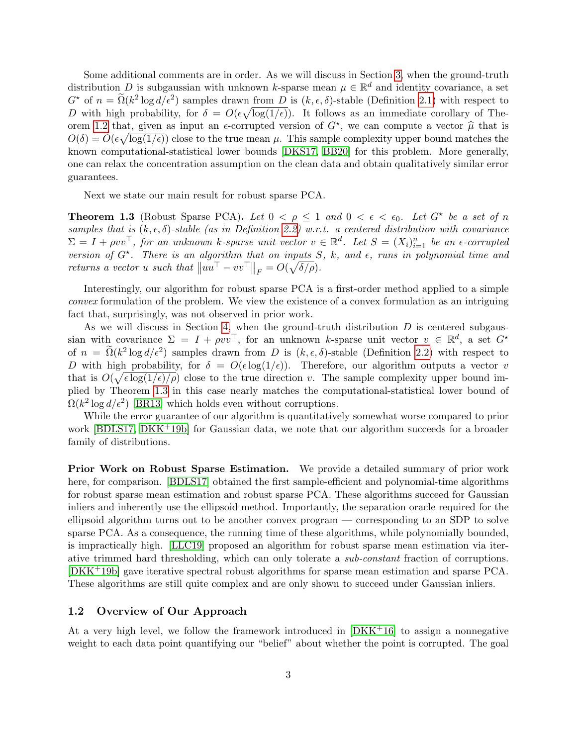Some additional comments are in order. As we will discuss in Section [3,](#page-6-1) when the ground-truth distribution D is subgaussian with unknown k-sparse mean  $\mu \in \mathbb{R}^d$  and identity covariance, a set  $G^*$  of  $n = \tilde{\Omega}(k^2 \log d/\epsilon^2)$  samples drawn from D is  $(k, \epsilon, \delta)$ -stable (Definition [2.1\)](#page-5-0) with respect to D with high probability, for  $\delta = O(\epsilon \sqrt{\log(1/\epsilon)})$ . It follows as an immediate corollary of The-orem [1.2](#page-2-0) that, given as input an  $\epsilon$ -corrupted version of  $G^*$ , we can compute a vector  $\hat{\mu}$  that is  $O(\delta) = O(\epsilon \sqrt{\log(1/\epsilon)})$  glog to the true mean  $\mu$ . This sample complexity upper bound matches the  $O(\delta) = O(\epsilon \sqrt{\log(1/\epsilon)})$  close to the true mean  $\mu$ . This sample complexity upper bound matches the known computational-statistical lower bounds [\[DKS17,](#page-14-12) [BB20\]](#page-13-9) for this problem. More generally, one can relax the concentration assumption on the clean data and obtain qualitatively similar error guarantees.

Next we state our main result for robust sparse PCA.

<span id="page-3-0"></span>**Theorem 1.3** (Robust Sparse PCA). Let  $0 < \rho \le 1$  and  $0 < \epsilon < \epsilon_0$ . Let  $G^*$  be a set of n samples that is  $(k, \epsilon, \delta)$ -stable (as in Definition [2.2\)](#page-6-0) w.r.t. a centered distribution with covariance  $\Sigma = I + \rho vv^{\top}$ , for an unknown k-sparse unit vector  $v \in \mathbb{R}^d$ . Let  $S = (X_i)_{i=1}^n$  be an  $\epsilon$ -corrupted version of  $G^*$ . There is an algorithm that on inputs S, k, and  $\epsilon$ , runs in polynomial time and returns a vector u such that  $||uu<sup>T</sup> - vv<sup>T</sup>||<sub>F</sub> = O(\sqrt{\delta/\rho}).$ 

Interestingly, our algorithm for robust sparse PCA is a first-order method applied to a simple convex formulation of the problem. We view the existence of a convex formulation as an intriguing fact that, surprisingly, was not observed in prior work.

As we will discuss in Section [4,](#page-9-0) when the ground-truth distribution  $D$  is centered subgaussian with covariance  $\Sigma = I + \rho v v^{\top}$ , for an unknown k-sparse unit vector  $v \in \mathbb{R}^d$ , a set  $G^*$ of  $n = \tilde{\Omega}(k^2 \log d/\epsilon^2)$  samples drawn from D is  $(k, \epsilon, \delta)$ -stable (Definition [2.2\)](#page-6-0) with respect to D with high probability, for  $\delta = O(\epsilon \log(1/\epsilon))$ . Therefore, our algorithm outputs a vector v that is  $O(\sqrt{\epsilon \log(1/\epsilon)/\rho})$  close to the true direction v. The sample complexity upper bound implied by Theorem [1.3](#page-3-0) in this case nearly matches the computational-statistical lower bound of  $\Omega(k^2 \log d/\epsilon^2)$  [\[BR13\]](#page-13-10) which holds even without corruptions.

While the error guarantee of our algorithm is quantitatively somewhat worse compared to prior work [\[BDLS17,](#page-13-7) [DKK](#page-13-8)<sup>+</sup>19b] for Gaussian data, we note that our algorithm succeeds for a broader family of distributions.

Prior Work on Robust Sparse Estimation. We provide a detailed summary of prior work here, for comparison. [\[BDLS17\]](#page-13-7) obtained the first sample-efficient and polynomial-time algorithms for robust sparse mean estimation and robust sparse PCA. These algorithms succeed for Gaussian inliers and inherently use the ellipsoid method. Importantly, the separation oracle required for the ellipsoid algorithm turns out to be another convex program — corresponding to an SDP to solve sparse PCA. As a consequence, the running time of these algorithms, while polynomially bounded, is impractically high. [\[LLC19\]](#page-14-13) proposed an algorithm for robust sparse mean estimation via iterative trimmed hard thresholding, which can only tolerate a sub-constant fraction of corruptions. [\[DKK](#page-13-8)+19b] gave iterative spectral robust algorithms for sparse mean estimation and sparse PCA. These algorithms are still quite complex and are only shown to succeed under Gaussian inliers.

#### 1.2 Overview of Our Approach

At a very high level, we follow the framework introduced in  $[DKK+16]$  $[DKK+16]$  to assign a nonnegative weight to each data point quantifying our "belief" about whether the point is corrupted. The goal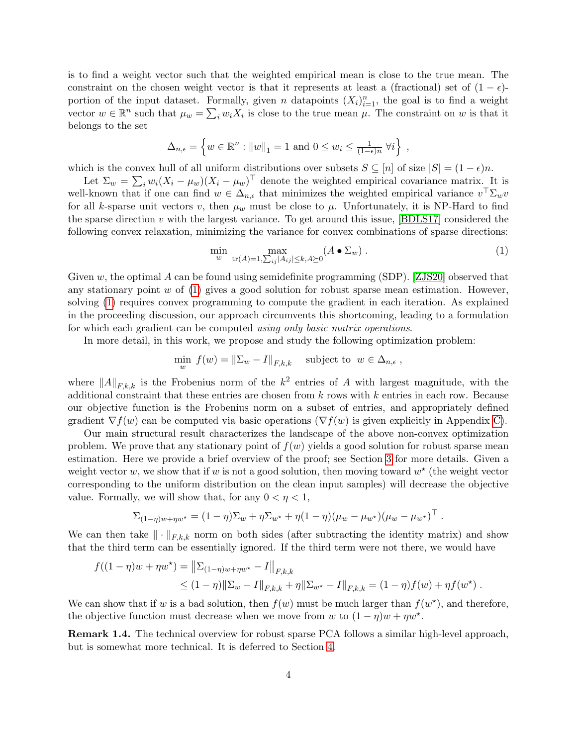is to find a weight vector such that the weighted empirical mean is close to the true mean. The constraint on the chosen weight vector is that it represents at least a (fractional) set of  $(1 - \epsilon)$ portion of the input dataset. Formally, given n datapoints  $(X_i)_{i=1}^n$ , the goal is to find a weight vector  $w \in \mathbb{R}^n$  such that  $\mu_w = \sum_i w_i X_i$  is close to the true mean  $\mu$ . The constraint on w is that it belongs to the set

$$
\Delta_{n,\epsilon} = \left\{ w \in \mathbb{R}^n : ||w||_1 = 1 \text{ and } 0 \le w_i \le \frac{1}{(1-\epsilon)n} \ \forall i \right\},\,
$$

which is the convex hull of all uniform distributions over subsets  $S \subseteq [n]$  of size  $|S| = (1 - \epsilon)n$ .

Let  $\Sigma_w = \sum_i w_i (X_i - \mu_w) (X_i - \mu_w)^\top$  denote the weighted empirical covariance matrix. It is well-known that if one can find  $w \in \Delta_{n,\epsilon}$  that minimizes the weighted empirical variance  $v^{\top} \Sigma_w v$ for all k-sparse unit vectors v, then  $\mu_w$  must be close to  $\mu$ . Unfortunately, it is NP-Hard to find the sparse direction  $v$  with the largest variance. To get around this issue, [\[BDLS17\]](#page-13-7) considered the following convex relaxation, minimizing the variance for convex combinations of sparse directions:

<span id="page-4-0"></span>
$$
\min_{w} \max_{\text{tr}(A)=1,\sum_{ij}|A_{ij}| \le k, A \succeq 0} (A \bullet \Sigma_w) \ . \tag{1}
$$

Given w, the optimal A can be found using semidefinite programming (SDP). [\[ZJS20\]](#page-15-2) observed that any stationary point  $w$  of  $(1)$  gives a good solution for robust sparse mean estimation. However, solving [\(1\)](#page-4-0) requires convex programming to compute the gradient in each iteration. As explained in the proceeding discussion, our approach circumvents this shortcoming, leading to a formulation for which each gradient can be computed using only basic matrix operations.

In more detail, in this work, we propose and study the following optimization problem:

$$
\min_{w} f(w) = \|\Sigma_{w} - I\|_{F,k,k} \quad \text{ subject to } w \in \Delta_{n,\epsilon} ,
$$

where  $||A||_{F,k,k}$  is the Frobenius norm of the  $k^2$  entries of A with largest magnitude, with the additional constraint that these entries are chosen from  $k$  rows with  $k$  entries in each row. Because our objective function is the Frobenius norm on a subset of entries, and appropriately defined gradient  $\nabla f(w)$  can be computed via basic operations  $(\nabla f(w))$  is given explicitly in Appendix [C\)](#page-25-0).

Our main structural result characterizes the landscape of the above non-convex optimization problem. We prove that any stationary point of  $f(w)$  yields a good solution for robust sparse mean estimation. Here we provide a brief overview of the proof; see Section [3](#page-6-1) for more details. Given a weight vector w, we show that if w is not a good solution, then moving toward  $w^*$  (the weight vector corresponding to the uniform distribution on the clean input samples) will decrease the objective value. Formally, we will show that, for any  $0 < \eta < 1$ ,

$$
\Sigma_{(1-\eta)w+\eta w^*} = (1-\eta)\Sigma_w + \eta \Sigma_{w^*} + \eta(1-\eta)(\mu_w - \mu_{w^*})(\mu_w - \mu_{w^*})^\top.
$$

We can then take  $\|\cdot\|_{F,k,k}$  norm on both sides (after subtracting the identity matrix) and show that the third term can be essentially ignored. If the third term were not there, we would have

$$
f((1 - \eta)w + \eta w^*) = ||\Sigma_{(1 - \eta)w + \eta w^*} - I||_{F,k,k}
$$
  
\n
$$
\leq (1 - \eta) ||\Sigma_w - I||_{F,k,k} + \eta ||\Sigma_{w^*} - I||_{F,k,k} = (1 - \eta)f(w) + \eta f(w^*) .
$$

We can show that if w is a bad solution, then  $f(w)$  must be much larger than  $f(w^*)$ , and therefore, the objective function must decrease when we move from w to  $(1 - \eta)w + \eta w^*$ .

Remark 1.4. The technical overview for robust sparse PCA follows a similar high-level approach, but is somewhat more technical. It is deferred to Section [4.](#page-9-0)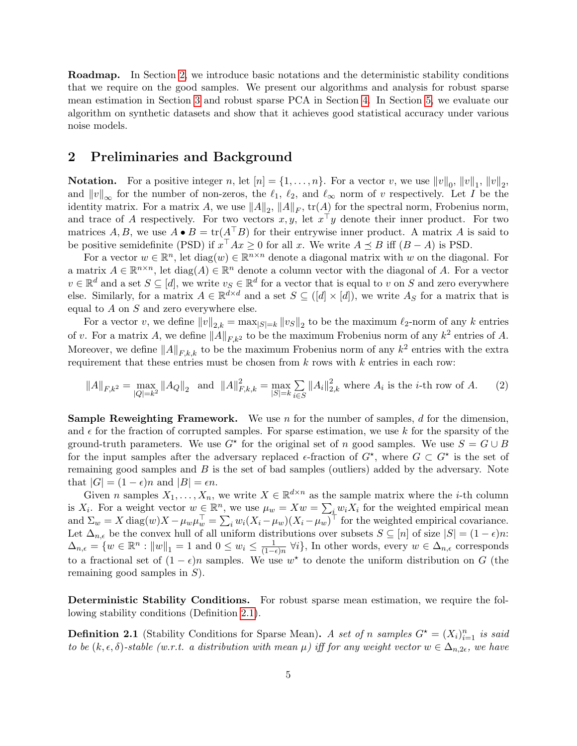Roadmap. In Section [2,](#page-5-1) we introduce basic notations and the deterministic stability conditions that we require on the good samples. We present our algorithms and analysis for robust sparse mean estimation in Section [3](#page-6-1) and robust sparse PCA in Section [4.](#page-9-0) In Section [5,](#page-10-0) we evaluate our algorithm on synthetic datasets and show that it achieves good statistical accuracy under various noise models.

### <span id="page-5-1"></span>2 Preliminaries and Background

**Notation.** For a positive integer n, let  $[n] = \{1, \ldots, n\}$ . For a vector v, we use  $||v||_0$ ,  $||v||_1$ ,  $||v||_2$ , and  $||v||_{\infty}$  for the number of non-zeros, the  $\ell_1$ ,  $\ell_2$ , and  $\ell_{\infty}$  norm of v respectively. Let I be the identity matrix. For a matrix A, we use  $||A||_2$ ,  $||A||_F$ ,  $\text{tr}(A)$  for the spectral norm, Frobenius norm, and trace of A respectively. For two vectors  $x, y$ , let  $x^{\top}y$  denote their inner product. For two matrices A, B, we use  $A \bullet B = \text{tr}(A^\top B)$  for their entrywise inner product. A matrix A is said to be positive semidefinite (PSD) if  $x^{\top}Ax \geq 0$  for all x. We write  $A \preceq B$  iff  $(B - A)$  is PSD.

For a vector  $w \in \mathbb{R}^n$ , let  $diag(w) \in \mathbb{R}^{n \times n}$  denote a diagonal matrix with w on the diagonal. For a matrix  $A \in \mathbb{R}^{n \times n}$ , let  $\text{diag}(A) \in \mathbb{R}^n$  denote a column vector with the diagonal of A. For a vector  $v \in \mathbb{R}^d$  and a set  $S \subseteq [d]$ , we write  $v_S \in \mathbb{R}^d$  for a vector that is equal to v on S and zero everywhere else. Similarly, for a matrix  $A \in \mathbb{R}^{d \times d}$  and a set  $S \subseteq (d] \times [d]$ , we write  $A_S$  for a matrix that is equal to  $A$  on  $S$  and zero everywhere else.

For a vector v, we define  $||v||_{2,k} = \max_{|S|=k} ||v_S||_2$  to be the maximum  $\ell_2$ -norm of any k entries of v. For a matrix A, we define  $||A||_{F,k^2}$  to be the maximum Frobenius norm of any  $k^2$  entries of A. Moreover, we define  $||A||_{F,k,k}$  to be the maximum Frobenius norm of any  $k^2$  entries with the extra requirement that these entries must be chosen from  $k$  rows with  $k$  entries in each row:

<span id="page-5-2"></span>
$$
||A||_{F,k^2} = \max_{|Q|=k^2} ||A_Q||_2 \text{ and } ||A||_{F,k,k}^2 = \max_{|S|=k} \sum_{i \in S} ||A_i||_{2,k}^2 \text{ where } A_i \text{ is the } i\text{-th row of } A. \tag{2}
$$

**Sample Reweighting Framework.** We use n for the number of samples, d for the dimension, and  $\epsilon$  for the fraction of corrupted samples. For sparse estimation, we use k for the sparsity of the ground-truth parameters. We use  $G^*$  for the original set of n good samples. We use  $S = G \cup B$ for the input samples after the adversary replaced  $\epsilon$ -fraction of  $G^*$ , where  $G \subset G^*$  is the set of remaining good samples and  $B$  is the set of bad samples (outliers) added by the adversary. Note that  $|G| = (1 - \epsilon)n$  and  $|B| = \epsilon n$ .

Given n samples  $X_1, \ldots, X_n$ , we write  $X \in \mathbb{R}^{d \times n}$  as the sample matrix where the *i*-th column is  $X_i$ . For a weight vector  $w \in \mathbb{R}^n$ , we use  $\mu_w = Xw = \sum_i w_i X_i$  for the weighted empirical mean and  $\Sigma_w = X \text{ diag}(w) X - \mu_w \mu_w^{\top} = \sum_i w_i (X_i - \mu_w) (X_i - \mu_w)^{\top}$  for the weighted empirical covariance. Let  $\Delta_{n,\epsilon}$  be the convex hull of all uniform distributions over subsets  $S \subseteq [n]$  of size  $|S| = (1 - \epsilon)n$ :  $\Delta_{n,\epsilon} = \{w \in \mathbb{R}^n : ||w||_1 = 1 \text{ and } 0 \leq w_i \leq \frac{1}{(1-\epsilon)}\}$  $\frac{1}{(1-\epsilon)n}$   $\forall i$ }, In other words, every  $w \in \Delta_{n,\epsilon}$  corresponds to a fractional set of  $(1 - \epsilon)n$  samples. We use  $w^*$  to denote the uniform distribution on G (the remaining good samples in  $S$ ).

Deterministic Stability Conditions. For robust sparse mean estimation, we require the following stability conditions (Definition [2.1\)](#page-5-0).

<span id="page-5-0"></span>**Definition 2.1** (Stability Conditions for Sparse Mean). A set of n samples  $G^* = (X_i)_{i=1}^n$  is said to be  $(k, \epsilon, \delta)$ -stable (w.r.t. a distribution with mean  $\mu$ ) iff for any weight vector  $w \in \Delta_{n,2\epsilon}$ , we have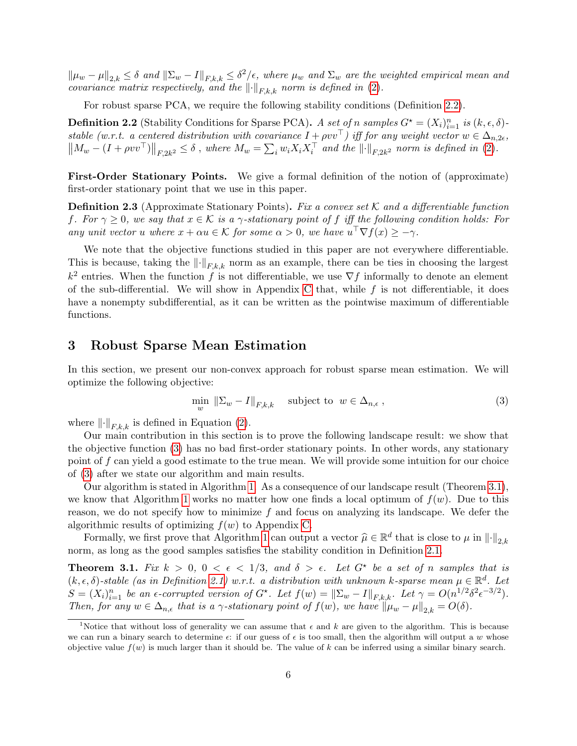$\|\mu_w - \mu\|_{2,k} \leq \delta$  and  $\|\Sigma_w - I\|_{F,k,k} \leq \delta^2/\epsilon$ , where  $\mu_w$  and  $\Sigma_w$  are the weighted empirical mean and covariance matrix respectively, and the  $\lVert \cdot \rVert_{F,k,k}$  norm is defined in [\(2\)](#page-5-2).

For robust sparse PCA, we require the following stability conditions (Definition [2.2\)](#page-6-0).

<span id="page-6-0"></span>**Definition 2.2** (Stability Conditions for Sparse PCA). A set of n samples  $G^* = (X_i)_{i=1}^n$  is  $(k, \epsilon, \delta)$ stable (w.r.t. a centered distribution with covariance  $I + \rho v v^{\top}$ ) iff for any weight vector  $w \in \Delta_{n,2\epsilon}$ ,  $\|M_w - (I + \rho vv^\top)\|_{F,2k^2} \le \delta$ , where  $M_w = \sum_i w_i X_i X_i^\top$  and the  $\|\cdot\|_{F,2k^2}$  norm is defined in [\(2\)](#page-5-2).

First-Order Stationary Points. We give a formal definition of the notion of (approximate) first-order stationary point that we use in this paper.

<span id="page-6-5"></span>**Definition 2.3** (Approximate Stationary Points). Fix a convex set K and a differentiable function f. For  $\gamma \geq 0$ , we say that  $x \in \mathcal{K}$  is a  $\gamma$ -stationary point of f iff the following condition holds: For any unit vector u where  $x + \alpha u \in \mathcal{K}$  for some  $\alpha > 0$ , we have  $u^{\top} \nabla f(x) \geq -\gamma$ .

We note that the objective functions studied in this paper are not everywhere differentiable. This is because, taking the  $\lVert \cdot \rVert_{F,k,k}$  norm as an example, there can be ties in choosing the largest  $k^2$  entries. When the function f is not differentiable, we use  $\nabla f$  informally to denote an element of the sub-differential. We will show in Appendix [C](#page-25-0) that, while  $f$  is not differentiable, it does have a nonempty subdifferential, as it can be written as the pointwise maximum of differentiable functions.

### <span id="page-6-1"></span>3 Robust Sparse Mean Estimation

In this section, we present our non-convex approach for robust sparse mean estimation. We will optimize the following objective:

<span id="page-6-2"></span>
$$
\min_{w} \|\Sigma_{w} - I\|_{F,k,k} \quad \text{subject to } w \in \Delta_{n,\epsilon} \,, \tag{3}
$$

where  $\lVert \cdot \rVert_{F,k,k}$  is defined in Equation [\(2\)](#page-5-2).

Our main contribution in this section is to prove the following landscape result: we show that the objective function [\(3\)](#page-6-2) has no bad first-order stationary points. In other words, any stationary point of  $f$  can yield a good estimate to the true mean. We will provide some intuition for our choice of [\(3\)](#page-6-2) after we state our algorithm and main results.

Our algorithm is stated in Algorithm [1.](#page-7-0) As a consequence of our landscape result (Theorem [3.1\)](#page-6-3), we know that Algorithm [1](#page-7-0) works no matter how one finds a local optimum of  $f(w)$ . Due to this reason, we do not specify how to minimize  $f$  and focus on analyzing its landscape. We defer the algorithmic results of optimizing  $f(w)$  to Appendix [C.](#page-25-0)

Formally, we first prove that Algorithm [1](#page-7-0) can output a vector  $\hat{\mu} \in \mathbb{R}^d$  that is close to  $\mu$  in  $\|\cdot\|_{2,k}$ <br>m es long as the good samples satisfies the stability condition in Definition 2.1 norm, as long as the good samples satisfies the stability condition in Definition [2.1.](#page-5-0)

<span id="page-6-3"></span>**Theorem 3.1.** Fix  $k > 0$ ,  $0 < \epsilon < 1/3$ , and  $\delta > \epsilon$ . Let  $G^*$  be a set of n samples that is  $(k, \epsilon, \delta)$ -stable (as in Definition [2.1\)](#page-5-0) w.r.t. a distribution with unknown k-sparse mean  $\mu \in \mathbb{R}^d$ . Let  $S = (X_i)_{i=1}^n$  be an  $\epsilon$ -corrupted version of  $G^*$ . Let  $f(w) = ||\Sigma_w - I||_{F,k,k}$ . Let  $\gamma = O(n^{1/2}\delta^2 \epsilon^{-3/2})$ . Then, for any  $w \in \Delta_{n,\epsilon}$  that is a  $\gamma$ -stationary point of  $f(w)$ , we have  $\|\mu_w - \mu\|_{2,k} = O(\delta)$ .

<span id="page-6-4"></span><sup>&</sup>lt;sup>1</sup>Notice that without loss of generality we can assume that  $\epsilon$  and  $k$  are given to the algorithm. This is because we can run a binary search to determine  $\epsilon$ : if our guess of  $\epsilon$  is too small, then the algorithm will output a w whose objective value  $f(w)$  is much larger than it should be. The value of k can be inferred using a similar binary search.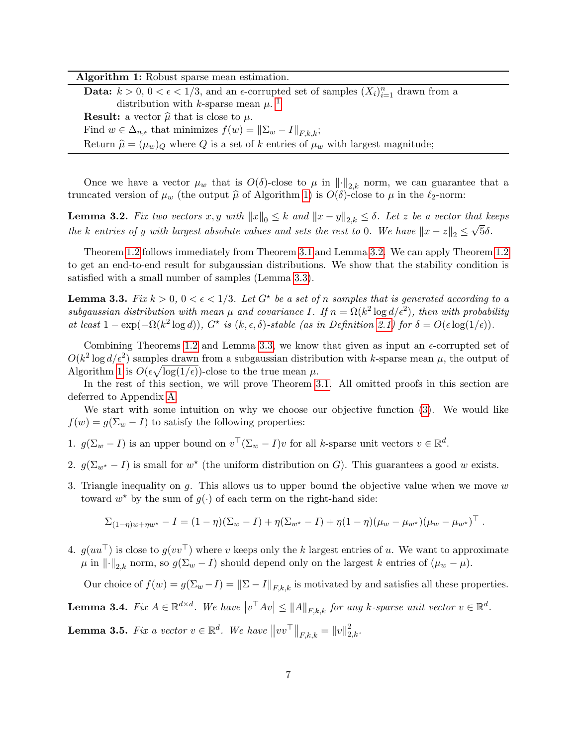| Algorithm 1: Robust sparse mean estimation. |  |  |  |  |  |
|---------------------------------------------|--|--|--|--|--|
|---------------------------------------------|--|--|--|--|--|

**Data:**  $k > 0$ ,  $0 < \epsilon < 1/3$ , and an  $\epsilon$ -corrupted set of samples  $(X_i)_{i=1}^n$  drawn from a distribution with k-sparse mean  $\mu$ .<sup>[1](#page-6-4)</sup> **Result:** a vector  $\hat{\mu}$  that is close to  $\mu$ . Find  $w \in \Delta_{n,\epsilon}$  that minimizes  $f(w) = \|\Sigma_w - I\|_{F[k,k)}$ ; Return  $\hat{\mu} = (\mu_w)_Q$  where Q is a set of k entries of  $\mu_w$  with largest magnitude;

<span id="page-7-0"></span>Once we have a vector  $\mu_w$  that is  $O(\delta)$ -close to  $\mu$  in  $\lVert \cdot \rVert_{2,k}$  norm, we can guarantee that a truncated version of  $\mu_w$  (the output  $\hat{\mu}$  of Algorithm [1\)](#page-7-0) is  $O(\delta)$ -close to  $\mu$  in the  $\ell_2$ -norm:

<span id="page-7-1"></span>**Lemma 3.2.** Fix two vectors  $x, y$  with  $||x||_0 \le k$  and  $||x - y||_{2,k} \le \delta$ . Let z be a vector that keeps the k entries of y with largest absolute values and sets the rest to 0. We have  $||x - z||_2 \leq \sqrt{5\delta}$ .

Theorem [1.2](#page-2-0) follows immediately from Theorem [3.1](#page-6-3) and Lemma [3.2.](#page-7-1) We can apply Theorem [1.2](#page-2-0) to get an end-to-end result for subgaussian distributions. We show that the stability condition is satisfied with a small number of samples (Lemma [3.3\)](#page-7-2).

<span id="page-7-2"></span>**Lemma 3.3.** Fix  $k > 0$ ,  $0 < \epsilon < 1/3$ . Let  $G^*$  be a set of n samples that is generated according to a subgaussian distribution with mean  $\mu$  and covariance I. If  $n = \Omega(k^2 \log d/\epsilon^2)$ , then with probability at least  $1 - \exp(-\Omega(k^2 \log d))$ ,  $G^*$  is  $(k, \epsilon, \delta)$ -stable (as in Definition [2.1\)](#page-5-0) for  $\delta = O(\epsilon \log(1/\epsilon))$ .

Combining Theorems [1.2](#page-2-0) and Lemma [3.3,](#page-7-2) we know that given as input an  $\epsilon$ -corrupted set of  $O(k^2 \log d/\epsilon^2)$  samples drawn from a subgaussian distribution with k-sparse mean  $\mu$ , the output of Algorithm [1](#page-7-0) is  $O(\epsilon \sqrt{\log(1/\epsilon)})$ -close to the true mean  $\mu$ .

In the rest of this section, we will prove Theorem [3.1.](#page-6-3) All omitted proofs in this section are deferred to Appendix [A.](#page-15-4)

We start with some intuition on why we choose our objective function [\(3\)](#page-6-2). We would like  $f(w) = g(\Sigma_w - I)$  to satisfy the following properties:

- 1.  $g(\Sigma_w I)$  is an upper bound on  $v^{\top}(\Sigma_w I)v$  for all k-sparse unit vectors  $v \in \mathbb{R}^d$ .
- 2.  $g(\Sigma_{w^*} I)$  is small for  $w^*$  (the uniform distribution on G). This guarantees a good w exists.
- 3. Triangle inequality on g. This allows us to upper bound the objective value when we move  $w$ toward  $w^*$  by the sum of  $g(\cdot)$  of each term on the right-hand side:

$$
\Sigma_{(1-\eta)w+\eta w^*} - I = (1-\eta)(\Sigma_w - I) + \eta(\Sigma_{w^*} - I) + \eta(1-\eta)(\mu_w - \mu_{w^*})(\mu_w - \mu_{w^*})^\top.
$$

4.  $g(uu^{\top})$  is close to  $g(vv^{\top})$  where v keeps only the k largest entries of u. We want to approximate  $\mu$  in  $\|\cdot\|_{2,k}$  norm, so  $g(\Sigma_w - I)$  should depend only on the largest k entries of  $(\mu_w - \mu)$ .

Our choice of  $f(w) = g(\Sigma_w - I) = ||\Sigma - I||_{F,k,k}$  is motivated by and satisfies all these properties.

<span id="page-7-3"></span>**Lemma 3.4.** Fix  $A \in \mathbb{R}^{d \times d}$ . We have  $|v^{\top}Av| \le ||A||_{F,k,k}$  for any k-sparse unit vector  $v \in \mathbb{R}^d$ .

<span id="page-7-4"></span>**Lemma 3.5.** Fix a vector  $v \in \mathbb{R}^d$ . We have  $||vv^{\top}||_{F,k,k} = ||v||_{2,k}^2$ .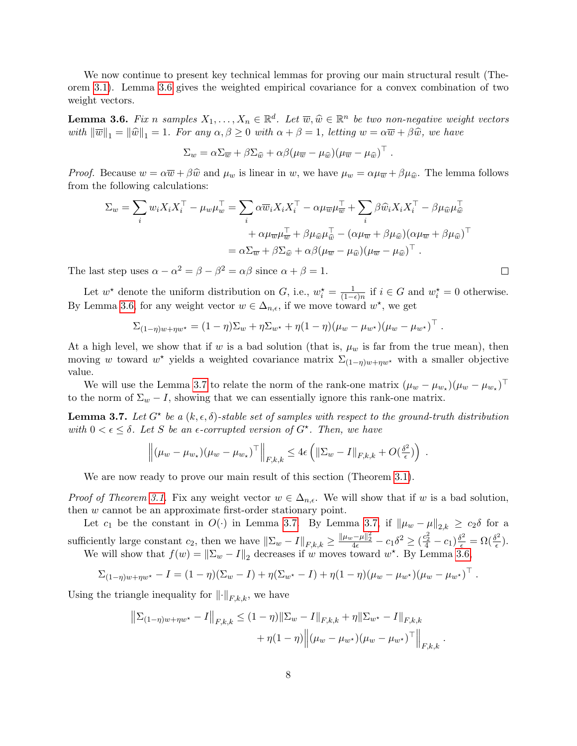We now continue to present key technical lemmas for proving our main structural result (Theorem [3.1\)](#page-6-3). Lemma [3.6](#page-8-0) gives the weighted empirical covariance for a convex combination of two weight vectors.

<span id="page-8-0"></span>**Lemma 3.6.** Fix n samples  $X_1, \ldots, X_n \in \mathbb{R}^d$ . Let  $\overline{w}, \widehat{w} \in \mathbb{R}^n$  be two non-negative weight vectors with  $\|\overline{w}\|_1 = \|\widehat{w}\|_1 = 1$ . For any  $\alpha, \beta \geq 0$  with  $\alpha + \beta = 1$ , letting  $w = \alpha \overline{w} + \beta \widehat{w}$ , we have

$$
\Sigma_w = \alpha \Sigma_{\overline{w}} + \beta \Sigma_{\widehat{w}} + \alpha \beta (\mu_{\overline{w}} - \mu_{\widehat{w}}) (\mu_{\overline{w}} - \mu_{\widehat{w}})^{\top}.
$$

*Proof.* Because  $w = \alpha \overline{w} + \beta \hat{w}$  and  $\mu_w$  is linear in w, we have  $\mu_w = \alpha \mu_{\overline{w}} + \beta \mu_{\hat{w}}$ . The lemma follows from the following calculations:

$$
\Sigma_w = \sum_i w_i X_i X_i^\top - \mu_w \mu_w^\top = \sum_i \alpha \overline{w}_i X_i X_i^\top - \alpha \mu_{\overline{w}} \mu_{\overline{w}}^\top + \sum_i \beta \widehat{w}_i X_i X_i^\top - \beta \mu_{\widehat{w}} \mu_{\widehat{w}}^\top + \alpha \mu_{\overline{w}} \mu_{\overline{w}}^\top + \beta \mu_{\widehat{w}} \mu_{\widehat{w}}^\top - (\alpha \mu_{\overline{w}} + \beta \mu_{\widehat{w}}) (\alpha \mu_{\overline{w}} + \beta \mu_{\widehat{w}})^\top = \alpha \Sigma_{\overline{w}} + \beta \Sigma_{\widehat{w}} + \alpha \beta (\mu_{\overline{w}} - \mu_{\widehat{w}}) (\mu_{\overline{w}} - \mu_{\widehat{w}})^\top.
$$

The last step uses  $\alpha - \alpha^2 = \beta - \beta^2 = \alpha \beta$  since  $\alpha + \beta = 1$ .

Let  $w^*$  denote the uniform distribution on G, i.e.,  $w_i^* = \frac{1}{(1 - \mu)^2}$  $\frac{1}{(1-\epsilon)n}$  if  $i \in G$  and  $w_i^* = 0$  otherwise. By Lemma [3.6,](#page-8-0) for any weight vector  $w \in \Delta_{n,\epsilon}$ , if we move toward  $w^*$ , we get

$$
\Sigma_{(1-\eta)w+\eta w^*} = (1-\eta)\Sigma_w + \eta \Sigma_{w^*} + \eta(1-\eta)(\mu_w - \mu_{w^*})(\mu_w - \mu_{w^*})^\top.
$$

At a high level, we show that if w is a bad solution (that is,  $\mu_w$  is far from the true mean), then moving w toward  $w^*$  yields a weighted covariance matrix  $\Sigma_{(1-\eta)w+\eta w^*}$  with a smaller objective value.

We will use the Lemma [3.7](#page-8-1) to relate the norm of the rank-one matrix  $(\mu_w - \mu_{w_\star})(\mu_w - \mu_{w_\star})^\top$ to the norm of  $\Sigma_w - I$ , showing that we can essentially ignore this rank-one matrix.

<span id="page-8-1"></span>**Lemma 3.7.** Let  $G^*$  be a  $(k, \epsilon, \delta)$ -stable set of samples with respect to the ground-truth distribution with  $0 < \epsilon \leq \delta$ . Let S be an  $\epsilon$ -corrupted version of  $G^*$ . Then, we have

$$
\left\| (\mu_w - \mu_{w_\star})(\mu_w - \mu_{w_\star})^\top \right\|_{F,k,k} \leq 4\epsilon \left( \|\Sigma_w - I\|_{F,k,k} + O(\tfrac{\delta^2}{\epsilon}) \right) .
$$

We are now ready to prove our main result of this section (Theorem [3.1\)](#page-6-3).

*Proof of Theorem [3.1.](#page-6-3)* Fix any weight vector  $w \in \Delta_{n,\epsilon}$ . We will show that if w is a bad solution, then w cannot be an approximate first-order stationary point.

Let  $c_1$  be the constant in  $O(\cdot)$  in Lemma [3.7.](#page-8-1) By Lemma [3.7,](#page-8-1) if  $\|\mu_w - \mu\|_{2,k} \geq c_2 \delta$  for a sufficiently large constant  $c_2$ , then we have  $\|\Sigma_w - I\|_{F,k,k} \ge \frac{\|\mu_w - \mu\|_2^2}{4\epsilon} - c_1 \delta^2 \ge (\frac{c_2^2}{4} - c_1) \frac{\delta^2}{\epsilon} = \Omega(\frac{\delta^2}{\epsilon})$  $(\frac{\epsilon}{\epsilon}).$ We will show that  $f(w) = ||\Sigma_w - I||_2$  decreases if w moves toward w<sup>\*</sup>. By Lemma [3.6,](#page-8-0)

$$
\Sigma_{(1-\eta)w+\eta w^*} - I = (1-\eta)(\Sigma_w - I) + \eta(\Sigma_{w^*} - I) + \eta(1-\eta)(\mu_w - \mu_{w^*})(\mu_w - \mu_{w^*})^\top.
$$

Using the triangle inequality for  $\|\cdot\|_{F,k,k}$ , we have

$$
\|\Sigma_{(1-\eta)w+\eta w^*} - I\|_{F,k,k} \le (1-\eta) \|\Sigma_w - I\|_{F,k,k} + \eta \|\Sigma_{w^*} - I\|_{F,k,k} + \eta (1-\eta) \left\| (\mu_w - \mu_{w^*}) (\mu_w - \mu_{w^*})^\top \right\|_{F,k,k}.
$$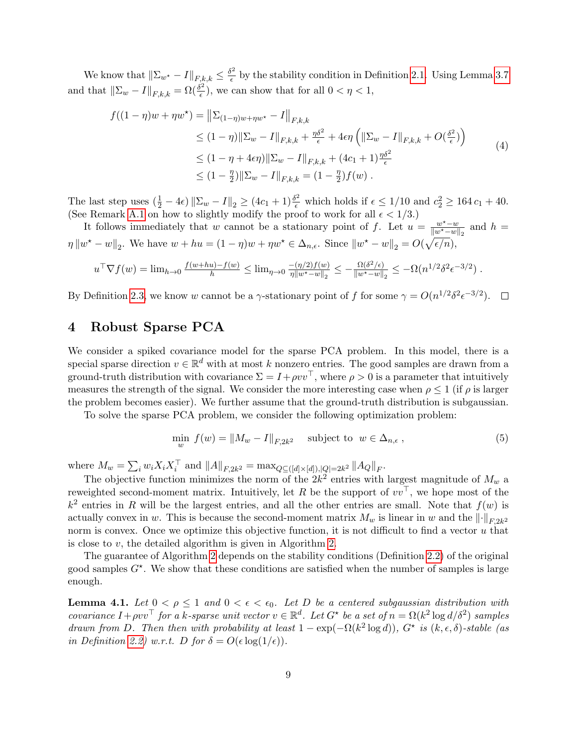We know that  $\|\Sigma_{w^\star} - I\|_{F,k,k} \leq \frac{\delta^2}{\epsilon}$  $\frac{\partial^2}{\partial \epsilon}$  by the stability condition in Definition [2.1.](#page-5-0) Using Lemma [3.7](#page-8-1) and that  $\|\Sigma_w - I\|_{F,k,k} = \Omega(\frac{\delta^2}{\epsilon})$  $\left(\frac{\mu}{\epsilon}\right)$ , we can show that for all  $0 < \eta < 1$ ,

$$
f((1 - \eta)w + \eta w^*) = ||\Sigma_{(1 - \eta)w + \eta w^*} - I||_{F,k,k}
$$
  
\n
$$
\leq (1 - \eta) ||\Sigma_w - I||_{F,k,k} + \frac{\eta \delta^2}{\epsilon} + 4\epsilon \eta \left( ||\Sigma_w - I||_{F,k,k} + O(\frac{\delta^2}{\epsilon}) \right)
$$
  
\n
$$
\leq (1 - \eta + 4\epsilon \eta) ||\Sigma_w - I||_{F,k,k} + (4c_1 + 1) \frac{\eta \delta^2}{\epsilon}
$$
  
\n
$$
\leq (1 - \frac{\eta}{2}) ||\Sigma_w - I||_{F,k,k} = (1 - \frac{\eta}{2}) f(w).
$$
 (4)

The last step uses  $(\frac{1}{2} - 4\epsilon) \|\Sigma_w - I\|_2 \ge (4c_1 + 1)\frac{\delta^2}{\epsilon}$  which holds if  $\epsilon \le 1/10$  and  $c_2^2 \ge 164 c_1 + 40$ . (See Remark [A.1](#page-17-0) on how to slightly modify the proof to work for all  $\epsilon < 1/3$ .)

It follows immediately that w cannot be a stationary point of f. Let  $u = \frac{w^* - w}{\|w^* - w\|}$  $\frac{w^{\star}-w}{\|w^{\star}-w\|_2}$  and  $h =$  $\eta \|w^* - w\|_2$ . We have  $w + hu = (1 - \eta)w + \eta w^* \in \Delta_{n,\epsilon}$ . Since  $\|w^* - w\|_2 = O(\sqrt{\epsilon/n}),$ 

$$
u^{\top} \nabla f(w) = \lim_{h \to 0} \frac{f(w + hu) - f(w)}{h} \le \lim_{\eta \to 0} \frac{-(\eta/2)f(w)}{\eta \|w^* - w\|_2} \le -\frac{\Omega(\delta^2/\epsilon)}{\|w^* - w\|_2} \le -\Omega(n^{1/2}\delta^2 \epsilon^{-3/2}).
$$

By Definition [2.3,](#page-6-5) we know w cannot be a  $\gamma$ -stationary point of f for some  $\gamma = O(n^{1/2} \delta^2 \epsilon^{-3/2})$ .

## <span id="page-9-0"></span>4 Robust Sparse PCA

We consider a spiked covariance model for the sparse PCA problem. In this model, there is a special sparse direction  $v \in \mathbb{R}^d$  with at most k nonzero entries. The good samples are drawn from a ground-truth distribution with covariance  $\Sigma = I + \rho v v^{\top}$ , where  $\rho > 0$  is a parameter that intuitively measures the strength of the signal. We consider the more interesting case when  $\rho \leq 1$  (if  $\rho$  is larger the problem becomes easier). We further assume that the ground-truth distribution is subgaussian.

To solve the sparse PCA problem, we consider the following optimization problem:

$$
\min_{w} f(w) = \|M_w - I\|_{F, 2k^2} \quad \text{subject to } w \in \Delta_{n, \epsilon}, \tag{5}
$$

where  $M_w = \sum_i w_i X_i X_i^{\top}$  and  $||A||_{F,2k^2} = \max_{Q \subseteq ([d] \times [d]), |Q| = 2k^2} ||A_Q||_F$ .

The objective function minimizes the norm of the  $2k^2$  entries with largest magnitude of  $M_w$  a reweighted second-moment matrix. Intuitively, let R be the support of  $vv^{\top}$ , we hope most of the  $k^2$  entries in R will be the largest entries, and all the other entries are small. Note that  $f(w)$  is actually convex in w. This is because the second-moment matrix  $M_w$  is linear in w and the  $\lVert \cdot \rVert_{F,2k^2}$ norm is convex. Once we optimize this objective function, it is not difficult to find a vector  $u$  that is close to v, the detailed algorithm is given in Algorithm [2.](#page-10-1)

The guarantee of Algorithm [2](#page-10-1) depends on the stability conditions (Definition [2.2\)](#page-6-0) of the original good samples  $G^*$ . We show that these conditions are satisfied when the number of samples is large enough.

<span id="page-9-1"></span>**Lemma 4.1.** Let  $0 < \rho \leq 1$  and  $0 < \epsilon < \epsilon_0$ . Let D be a centered subgaussian distribution with covariance  $I + \rho v v^{\top}$  for a k-sparse unit vector  $v \in \mathbb{R}^d$ . Let  $G^*$  be a set of  $n = \Omega(k^2 \log d/\delta^2)$  samples drawn from D. Then then with probability at least  $1 - \exp(-\Omega(k^2 \log d))$ ,  $G^*$  is  $(k, \epsilon, \delta)$ -stable (as in Definition [2.2\)](#page-6-0) w.r.t. D for  $\delta = O(\epsilon \log(1/\epsilon)).$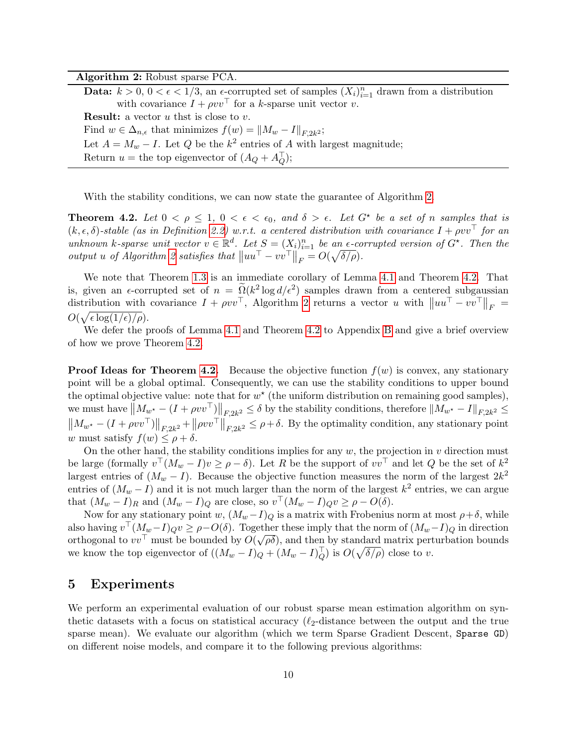Algorithm 2: Robust sparse PCA.

Data:  $k > 0$ ,  $0 < \epsilon < 1/3$ , an  $\epsilon$ -corrupted set of samples  $(X_i)_{i=1}^n$  drawn from a distribution with covariance  $I + \rho v v^{\top}$  for a k-sparse unit vector v. **Result:** a vector  $u$  thst is close to  $v$ . Find  $w \in \Delta_{n,\epsilon}$  that minimizes  $f(w) = ||M_w - I||_{F,2k^2}$ ; Let  $A = M_w - I$ . Let Q be the  $k^2$  entries of A with largest magnitude; Return  $u =$  the top eigenvector of  $(A_Q + A_Q^{\top});$ 

<span id="page-10-1"></span>With the stability conditions, we can now state the guarantee of Algorithm [2.](#page-10-1)

<span id="page-10-2"></span>**Theorem 4.2.** Let  $0 < \rho \leq 1$ ,  $0 < \epsilon < \epsilon_0$ , and  $\delta > \epsilon$ . Let  $G^*$  be a set of n samples that is  $(k, \epsilon, \delta)$ -stable (as in Definition [2.2\)](#page-6-0) w.r.t. a centered distribution with covariance  $I + \rho vv^{\top}$  for an unknown k-sparse unit vector  $v \in \mathbb{R}^d$ . Let  $S = (X_i)_{i=1}^n$  be an  $\epsilon$ -corrupted version of  $G^*$ . Then the output u of Algorithm [2](#page-10-1) satisfies that  $||uu<sup>T</sup> - vv<sup>T</sup>||<sub>F</sub> = O(\sqrt{\delta/\rho}).$ 

We note that Theorem [1.3](#page-3-0) is an immediate corollary of Lemma [4.1](#page-9-1) and Theorem [4.2.](#page-10-2) That is, given an  $\epsilon$ -corrupted set of  $n = \tilde{Q}(k^2 \log d/\epsilon^2)$  samples drawn from a centered subgaussian distribution with covariance  $I + \rho v v^{\top}$ , Algorithm [2](#page-10-1) returns a vector u with  $||u u^{\top} - v v^{\top}||_F =$  $O(\sqrt{\epsilon \log(1/\epsilon)/\rho}).$ 

We defer the proofs of Lemma [4.1](#page-9-1) and Theorem [4.2](#page-10-2) to Appendix [B](#page-21-0) and give a brief overview of how we prove Theorem [4.2.](#page-10-2)

**Proof Ideas for Theorem [4.2.](#page-10-2)** Because the objective function  $f(w)$  is convex, any stationary point will be a global optimal. Consequently, we can use the stability conditions to upper bound the optimal objective value: note that for  $w^*$  (the uniform distribution on remaining good samples), we must have  $||M_{w^*} - (I + \rho v v^\top)||_{F,2k^2} \le \delta$  by the stability conditions, therefore  $||M_{w^*} - I||_{F,2k^2} \le$  $||M_{w^*} - (I + \rho vv^\top)||_{F,2k^2} + ||\rho vv^\top||_{F,2k^2} \leq \rho + \delta$ . By the optimality condition, any stationary point w must satisfy  $f(w) \leq \rho + \delta$ .

On the other hand, the stability conditions implies for any  $w$ , the projection in  $v$  direction must be large (formally  $v^{\top}(M_w - I)v \ge \rho - \delta$ ). Let R be the support of  $vv^{\top}$  and let Q be the set of  $k^2$ largest entries of  $(M_w - I)$ . Because the objective function measures the norm of the largest  $2k^2$ entries of  $(M_w - I)$  and it is not much larger than the norm of the largest  $k^2$  entries, we can argue that  $(M_w - I)_R$  and  $(M_w - I)_Q$  are close, so  $v^{\top} (M_w - I)_Q v \ge \rho - O(\delta)$ .

Now for any stationary point w,  $(M_w - I)_Q$  is a matrix with Frobenius norm at most  $\rho + \delta$ , while also having  $v^{\top} (M_w - I)_{Q} v \ge \rho - O(\delta)$ . Together these imply that the norm of  $(M_w - I)_{Q}$  in direction also having  $v^{\text{(}}(m_w-1)Qv \geq p-\text{O}(v)$ . Toget<br>orthogonal to  $vv^{\top}$  must be bounded by  $O(\sqrt{v^{\top}})$  $\overline{\rho\delta}$ , and then by standard matrix perturbation bounds we know the top eigenvector of  $((M_w - I)_{Q} + (M_w - I)_{Q}^{\top})$  is  $O(\sqrt{\delta/\rho})$  close to v.

### <span id="page-10-0"></span>5 Experiments

We perform an experimental evaluation of our robust sparse mean estimation algorithm on synthetic datasets with a focus on statistical accuracy  $(\ell_2$ -distance between the output and the true sparse mean). We evaluate our algorithm (which we term Sparse Gradient Descent, Sparse GD) on different noise models, and compare it to the following previous algorithms: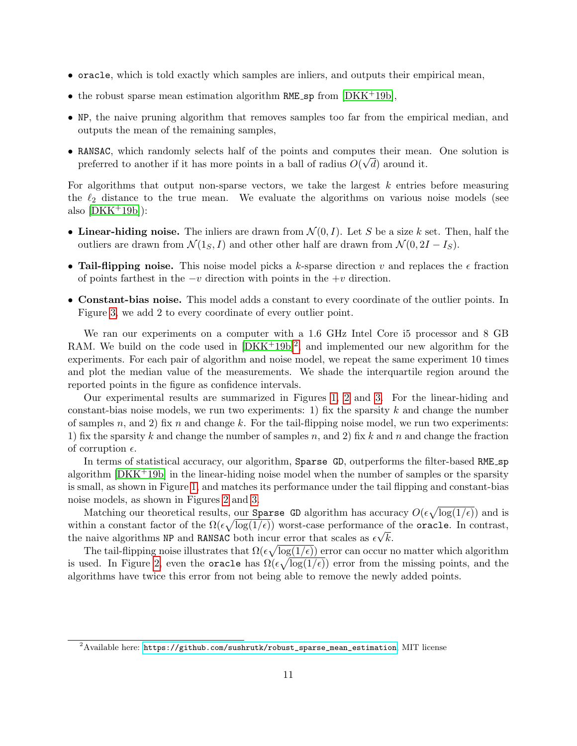- oracle, which is told exactly which samples are inliers, and outputs their empirical mean,
- the robust sparse mean estimation algorithm RME sp from  $[DKK^+19b]$  $[DKK^+19b]$ ,
- NP, the naive pruning algorithm that removes samples too far from the empirical median, and outputs the mean of the remaining samples,
- RANSAC, which randomly selects half of the points and computes their mean. One solution is preferred to another if it has more points in a ball of radius  $O(\sqrt{d})$  around it.

For algorithms that output non-sparse vectors, we take the largest  $k$  entries before measuring the  $\ell_2$  distance to the true mean. We evaluate the algorithms on various noise models (see also  $[DKK^+19b]$  $[DKK^+19b]$ :

- Linear-hiding noise. The inliers are drawn from  $\mathcal{N}(0, I)$ . Let S be a size k set. Then, half the outliers are drawn from  $\mathcal{N}(1_S, I)$  and other other half are drawn from  $\mathcal{N}(0, 2I - I_S)$ .
- Tail-flipping noise. This noise model picks a k-sparse direction v and replaces the  $\epsilon$  fraction of points farthest in the  $-v$  direction with points in the  $+v$  direction.
- Constant-bias noise. This model adds a constant to every coordinate of the outlier points. In Figure [3,](#page-12-0) we add 2 to every coordinate of every outlier point.

We ran our experiments on a computer with a 1.6 GHz Intel Core i5 processor and 8 GB RAM. We build on the code used in  $[DKK^+19b]^2$  $[DKK^+19b]^2$  $[DKK^+19b]^2$ , and implemented our new algorithm for the experiments. For each pair of algorithm and noise model, we repeat the same experiment 10 times and plot the median value of the measurements. We shade the interquartile region around the reported points in the figure as confidence intervals.

Our experimental results are summarized in Figures [1,](#page-12-1) [2](#page-12-2) and [3.](#page-12-0) For the linear-hiding and constant-bias noise models, we run two experiments: 1) fix the sparsity  $k$  and change the number of samples n, and 2) fix n and change k. For the tail-flipping noise model, we run two experiments: 1) fix the sparsity k and change the number of samples n, and 2) fix k and n and change the fraction of corruption  $\epsilon$ .

In terms of statistical accuracy, our algorithm, Sparse GD, outperforms the filter-based RME<sub>-sp</sub> algorithm [\[DKK](#page-13-8)+19b] in the linear-hiding noise model when the number of samples or the sparsity is small, as shown in Figure [1,](#page-12-1) and matches its performance under the tail flipping and constant-bias noise models, as shown in Figures [2](#page-12-2) and [3.](#page-12-0)

Matching our theoretical results, our Sparse GD algorithm has accuracy  $O(\epsilon \sqrt{\log(1/\epsilon)})$  and is within a constant factor of the  $\Omega(\epsilon \sqrt{\log(1/\epsilon)})$  worst-case performance of the **oracle**. In contrast, the naive algorithms NP and RANSAC both incur error that scales as  $\epsilon \sqrt{k}$ .

The tail-flipping noise illustrates that  $\Omega(\epsilon \sqrt{\log(1/\epsilon)})$  error can occur no matter which algorithm is used. In Figure [2,](#page-12-2) even the oracle has  $\Omega(\epsilon \sqrt{\log(1/\epsilon)})$  error from the missing points, and the algorithms have twice this error from not being able to remove the newly added points.

<span id="page-11-0"></span> $2A$ vailable here: [https://github.com/sushrutk/robust\\_sparse\\_mean\\_estimation](https://github.com/sushrutk/robust_sparse_mean_estimation), MIT license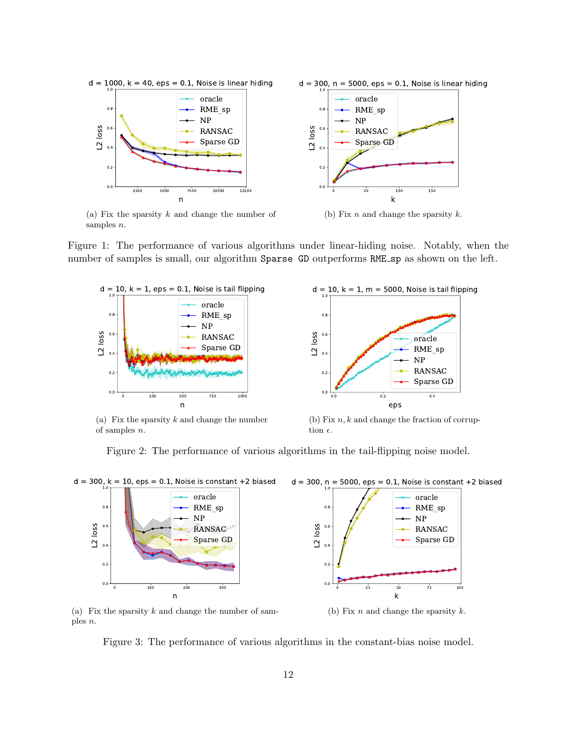<span id="page-12-1"></span>

(a) Fix the sparsity  $k$  and change the number of samples  $n$ .



<span id="page-12-2"></span>Figure 1: The performance of various algorithms under linear-hiding noise. Notably, when the number of samples is small, our algorithm Sparse GD outperforms RME sp as shown on the left.



(a) Fix the sparsity  $k$  and change the number of samples n.



(b) Fix  $n, k$  and change the fraction of corruption  $\epsilon$ .

Figure 2: The performance of various algorithms in the tail-flipping noise model.

<span id="page-12-0"></span>

(a) Fix the sparsity  $k$  and change the number of samples n.

(b) Fix  $n$  and change the sparsity  $k$ .

Figure 3: The performance of various algorithms in the constant-bias noise model.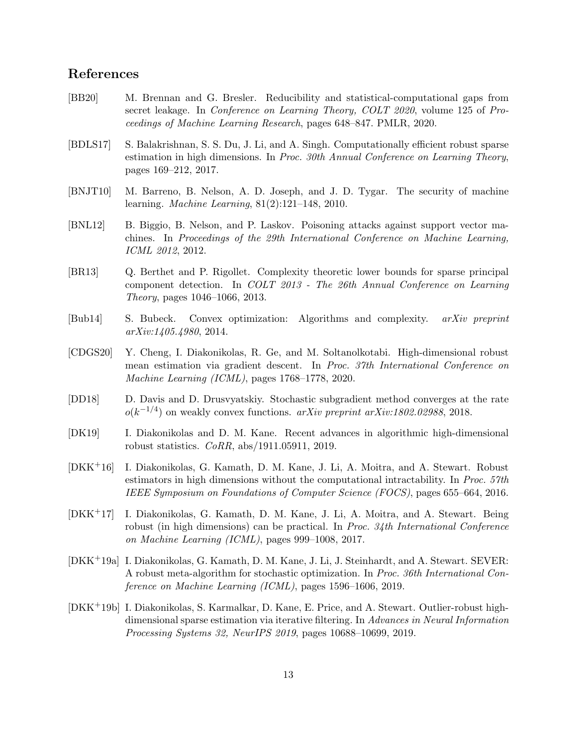## References

- <span id="page-13-9"></span>[BB20] M. Brennan and G. Bresler. Reducibility and statistical-computational gaps from secret leakage. In *Conference on Learning Theory, COLT 2020*, volume 125 of *Pro*ceedings of Machine Learning Research, pages 648–847. PMLR, 2020.
- <span id="page-13-7"></span>[BDLS17] S. Balakrishnan, S. S. Du, J. Li, and A. Singh. Computationally efficient robust sparse estimation in high dimensions. In Proc. 30th Annual Conference on Learning Theory, pages 169–212, 2017.
- <span id="page-13-0"></span>[BNJT10] M. Barreno, B. Nelson, A. D. Joseph, and J. D. Tygar. The security of machine learning. Machine Learning, 81(2):121–148, 2010.
- <span id="page-13-1"></span>[BNL12] B. Biggio, B. Nelson, and P. Laskov. Poisoning attacks against support vector machines. In Proceedings of the 29th International Conference on Machine Learning, ICML 2012, 2012.
- <span id="page-13-10"></span>[BR13] Q. Berthet and P. Rigollet. Complexity theoretic lower bounds for sparse principal component detection. In COLT 2013 - The 26th Annual Conference on Learning Theory, pages 1046–1066, 2013.
- <span id="page-13-12"></span>[Bub14] S. Bubeck. Convex optimization: Algorithms and complexity. arXiv preprint arXiv:1405.4980, 2014.
- <span id="page-13-6"></span>[CDGS20] Y. Cheng, I. Diakonikolas, R. Ge, and M. Soltanolkotabi. High-dimensional robust mean estimation via gradient descent. In Proc. 37th International Conference on Machine Learning (ICML), pages 1768–1778, 2020.
- <span id="page-13-11"></span>[DD18] D. Davis and D. Drusvyatskiy. Stochastic subgradient method converges at the rate  $o(k^{-1/4})$  on weakly convex functions. arXiv preprint arXiv:1802.02988, 2018.
- <span id="page-13-5"></span>[DK19] I. Diakonikolas and D. M. Kane. Recent advances in algorithmic high-dimensional robust statistics. CoRR, abs/1911.05911, 2019.
- <span id="page-13-4"></span>[DKK+16] I. Diakonikolas, G. Kamath, D. M. Kane, J. Li, A. Moitra, and A. Stewart. Robust estimators in high dimensions without the computational intractability. In Proc. 57th IEEE Symposium on Foundations of Computer Science (FOCS), pages 655–664, 2016.
- <span id="page-13-3"></span>[DKK+17] I. Diakonikolas, G. Kamath, D. M. Kane, J. Li, A. Moitra, and A. Stewart. Being robust (in high dimensions) can be practical. In *Proc.*  $34$ th International Conference on Machine Learning (ICML), pages 999–1008, 2017.
- <span id="page-13-2"></span>[DKK+19a] I. Diakonikolas, G. Kamath, D. M. Kane, J. Li, J. Steinhardt, and A. Stewart. SEVER: A robust meta-algorithm for stochastic optimization. In Proc. 36th International Conference on Machine Learning (ICML), pages 1596–1606, 2019.
- <span id="page-13-8"></span>[DKK+19b] I. Diakonikolas, S. Karmalkar, D. Kane, E. Price, and A. Stewart. Outlier-robust highdimensional sparse estimation via iterative filtering. In Advances in Neural Information Processing Systems 32, NeurIPS 2019, pages 10688–10699, 2019.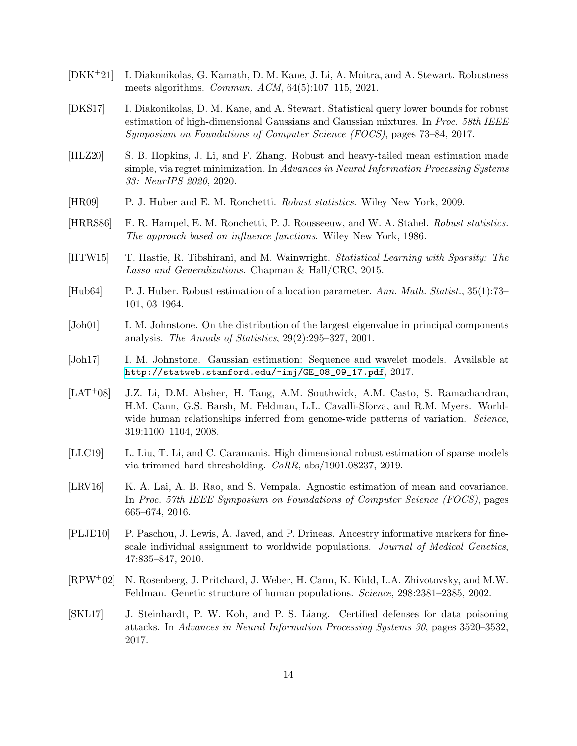- <span id="page-14-8"></span>[DKK+21] I. Diakonikolas, G. Kamath, D. M. Kane, J. Li, A. Moitra, and A. Stewart. Robustness meets algorithms. Commun. ACM, 64(5):107–115, 2021.
- <span id="page-14-12"></span>[DKS17] I. Diakonikolas, D. M. Kane, and A. Stewart. Statistical query lower bounds for robust estimation of high-dimensional Gaussians and Gaussian mixtures. In Proc. 58th IEEE Symposium on Foundations of Computer Science (FOCS), pages 73–84, 2017.
- <span id="page-14-14"></span>[HLZ20] S. B. Hopkins, J. Li, and F. Zhang. Robust and heavy-tailed mean estimation made simple, via regret minimization. In Advances in Neural Information Processing Systems 33: NeurIPS 2020, 2020.
- <span id="page-14-5"></span>[HR09] P. J. Huber and E. M. Ronchetti. Robust statistics. Wiley New York, 2009.
- <span id="page-14-4"></span>[HRRS86] F. R. Hampel, E. M. Ronchetti, P. J. Rousseeuw, and W. A. Stahel. Robust statistics. The approach based on influence functions. Wiley New York, 1986.
- <span id="page-14-9"></span>[HTW15] T. Hastie, R. Tibshirani, and M. Wainwright. Statistical Learning with Sparsity: The Lasso and Generalizations. Chapman & Hall/CRC, 2015.
- <span id="page-14-6"></span>[Hub64] P. J. Huber. Robust estimation of a location parameter. Ann. Math. Statist., 35(1):73– 101, 03 1964.
- <span id="page-14-11"></span>[Joh01] I. M. Johnstone. On the distribution of the largest eigenvalue in principal components analysis. The Annals of Statistics,  $29(2):295-327$ ,  $2001$ .
- <span id="page-14-10"></span>[Joh17] I. M. Johnstone. Gaussian estimation: Sequence and wavelet models. Available at [http://statweb.stanford.edu/~imj/GE\\_08\\_09\\_17.pdf](http://statweb.stanford.edu/~imj/GE_08_09_17.pdf), 2017.
- <span id="page-14-3"></span>[LAT+08] J.Z. Li, D.M. Absher, H. Tang, A.M. Southwick, A.M. Casto, S. Ramachandran, H.M. Cann, G.S. Barsh, M. Feldman, L.L. Cavalli-Sforza, and R.M. Myers. Worldwide human relationships inferred from genome-wide patterns of variation. Science, 319:1100–1104, 2008.
- <span id="page-14-13"></span>[LLC19] L. Liu, T. Li, and C. Caramanis. High dimensional robust estimation of sparse models via trimmed hard thresholding. CoRR, abs/1901.08237, 2019.
- <span id="page-14-7"></span>[LRV16] K. A. Lai, A. B. Rao, and S. Vempala. Agnostic estimation of mean and covariance. In Proc. 57th IEEE Symposium on Foundations of Computer Science (FOCS), pages 665–674, 2016.
- <span id="page-14-2"></span>[PLJD10] P. Paschou, J. Lewis, A. Javed, and P. Drineas. Ancestry informative markers for finescale individual assignment to worldwide populations. *Journal of Medical Genetics*, 47:835–847, 2010.
- <span id="page-14-1"></span>[RPW+02] N. Rosenberg, J. Pritchard, J. Weber, H. Cann, K. Kidd, L.A. Zhivotovsky, and M.W. Feldman. Genetic structure of human populations. Science, 298:2381–2385, 2002.
- <span id="page-14-0"></span>[SKL17] J. Steinhardt, P. W. Koh, and P. S. Liang. Certified defenses for data poisoning attacks. In Advances in Neural Information Processing Systems 30, pages 3520–3532, 2017.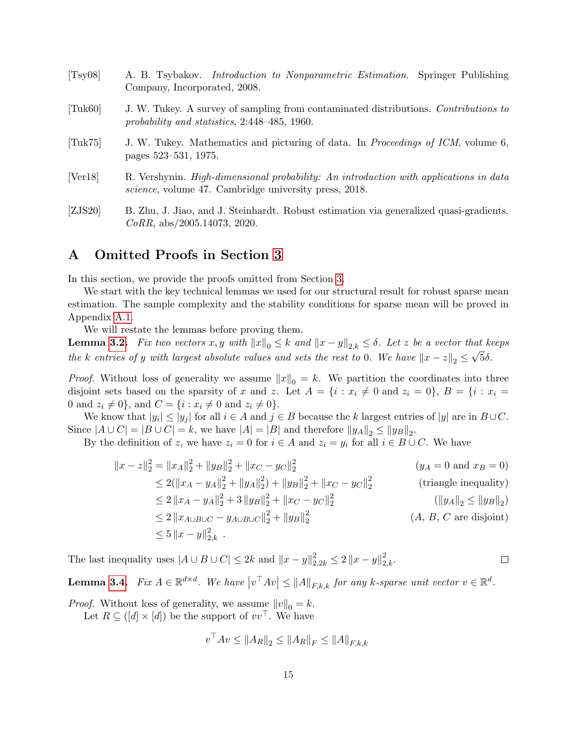<span id="page-15-3"></span><span id="page-15-1"></span><span id="page-15-0"></span>

| [Tsy08]                       | A. B. Tsybakov. <i>Introduction to Nonparametric Estimation</i> . Springer Publishing<br>Company, Incorporated, 2008.                                         |
|-------------------------------|---------------------------------------------------------------------------------------------------------------------------------------------------------------|
| $\lceil \text{Tuk60} \rceil$  | J. W. Tukey. A survey of sampling from contaminated distributions. Contributions to<br>probability and statistics, $2:448-485$ , 1960.                        |
| $\lceil \text{Tuk} 75 \rceil$ | J. W. Tukey. Mathematics and picturing of data. In <i>Proceedings of ICM</i> , volume 6,<br>pages 523–531, 1975.                                              |
| [Ver18]                       | R. Vershynin. <i>High-dimensional probability: An introduction with applications in data</i><br><i>science</i> , volume 47. Cambridge university press, 2018. |
| [ZJS20]                       | B. Zhu, J. Jiao, and J. Steinhardt. Robust estimation via generalized quasi-gradients.<br>$CoRR$ , abs/2005.14073, 2020.                                      |

## <span id="page-15-5"></span><span id="page-15-4"></span><span id="page-15-2"></span>A Omitted Proofs in Section [3](#page-6-1)

In this section, we provide the proofs omitted from Section [3.](#page-6-1)

We start with the key technical lemmas we used for our structural result for robust sparse mean estimation. The sample complexity and the stability conditions for sparse mean will be proved in Appendix [A.1.](#page-17-1)

We will restate the lemmas before proving them.

**Lemma [3.2.](#page-7-1)** Fix two vectors  $x, y$  with  $||x||_0 \le k$  and  $||x - y||_{2,k} \le \delta$ . Let z be a vector that keeps the k entries of y with largest absolute values and sets the rest to 0. We have  $||x - z||_2 \leq \sqrt{5\delta}$ .

*Proof.* Without loss of generality we assume  $||x||_0 = k$ . We partition the coordinates into three disjoint sets based on the sparsity of x and z. Let  $A = \{i : x_i \neq 0 \text{ and } z_i = 0\}, B = \{i : x_i = 0\}$ 0 and  $z_i \neq 0$ , and  $C = \{i : x_i \neq 0 \text{ and } z_i \neq 0\}.$ 

We know that  $|y_i| \le |y_j|$  for all  $i \in A$  and  $j \in B$  because the k largest entries of  $|y|$  are in  $B \cup C$ . Since  $|A \cup C| = |B \cup C| = k$ , we have  $|A| = |B|$  and therefore  $||y_A||_2 \le ||y_B||_2$ .

By the definition of z, we have  $z_i = 0$  for  $i \in A$  and  $z_i = y_i$  for all  $i \in B \cup C$ . We have

$$
||x - z||_2^2 = ||x_A||_2^2 + ||y_B||_2^2 + ||x_C - y_C||_2^2
$$
 (*y<sub>A</sub>* = 0 and *x<sub>B</sub>* = 0)  
\n
$$
\leq 2(||x_A - y_A||_2^2 + ||y_A||_2^2) + ||y_B||_2^2 + ||x_C - y_C||_2^2
$$
 (triangle inequality)  
\n
$$
\leq 2 ||x_A - y_A||_2^2 + 3 ||y_B||_2^2 + ||x_C - y_C||_2^2
$$
 (*||y<sub>A</sub>||<sub>2</sub>*  $\leq ||y_B||_2$ )  
\n
$$
\leq 2 ||x_{A \cup B \cup C} - y_{A \cup B \cup C}||_2^2 + ||y_B||_2^2
$$
 (*A, B, C* are disjoint)  
\n
$$
\leq 5 ||x - y||_{2,k}^2.
$$

 $\Box$ 

The last inequality uses  $|A \cup B \cup C| \leq 2k$  and  $||x - y||_{2,2k}^2 \leq 2 ||x - y||_{2,k}^2$ .

**Lemma [3.4.](#page-7-3)** Fix  $A \in \mathbb{R}^{d \times d}$ . We have  $|v^{\top}Av| \le ||A||_{F,k,k}$  for any k-sparse unit vector  $v \in \mathbb{R}^d$ .

*Proof.* Without loss of generality, we assume  $||v||_0 = k$ .

Let  $R \subseteq (d] \times [d]$  be the support of  $vv^{\top}$ . We have

$$
v^{\top}Av \le \|A_R\|_2 \le \|A_R\|_F \le \|A\|_{F,k,k}
$$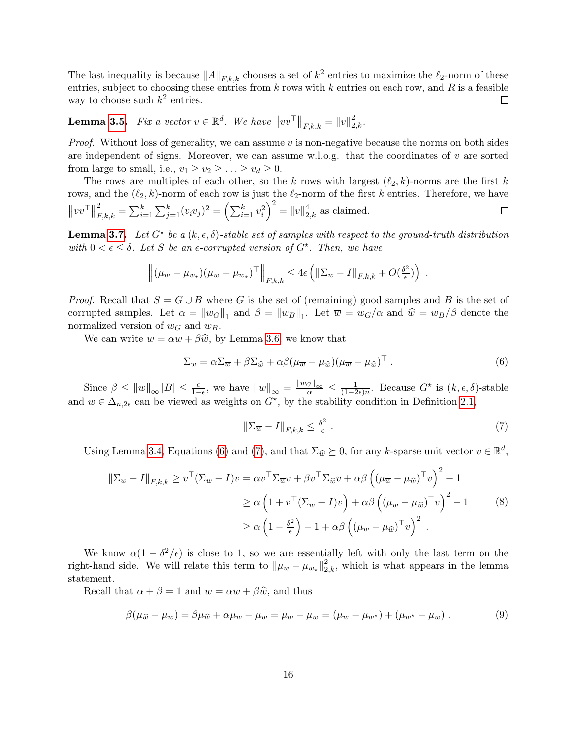The last inequality is because  $||A||_{F,k,k}$  chooses a set of  $k^2$  entries to maximize the  $\ell_2$ -norm of these entries, subject to choosing these entries from  $k$  rows with  $k$  entries on each row, and  $R$  is a feasible way to choose such  $k^2$  entries.  $\Box$ 

**Lemma [3.5.](#page-7-4)** Fix a vector  $v \in \mathbb{R}^d$ . We have  $||vv^\top||_{F,k,k} = ||v||_{2,k}^2$ .

*Proof.* Without loss of generality, we can assume  $v$  is non-negative because the norms on both sides are independent of signs. Moreover, we can assume w.l.o.g. that the coordinates of  $v$  are sorted from large to small, i.e.,  $v_1 \ge v_2 \ge \ldots \ge v_d \ge 0$ .

The rows are multiples of each other, so the k rows with largest  $(\ell_2, k)$ -norms are the first k rows, and the  $(\ell_2, k)$ -norm of each row is just the  $\ell_2$ -norm of the first k entries. Therefore, we have  $E_{F,k,k}^2 = \sum_{i=1}^k \sum_{j=1}^k (v_i v_j)^2 = \left(\sum_{i=1}^k v_i^2\right)^2 = ||v||_{2,k}^4$  as claimed.  $\|vv^\top\|$  $\Box$ 

**Lemma [3.7.](#page-8-1)** Let  $G^*$  be a  $(k, \epsilon, \delta)$ -stable set of samples with respect to the ground-truth distribution with  $0 < \epsilon \leq \delta$ . Let S be an  $\epsilon$ -corrupted version of  $G^*$ . Then, we have

$$
\left\| (\mu_w - \mu_{w_\star})(\mu_w - \mu_{w_\star})^\top \right\|_{F,k,k} \leq 4\epsilon \left( \|\Sigma_w - I\|_{F,k,k} + O(\tfrac{\delta^2}{\epsilon}) \right) .
$$

*Proof.* Recall that  $S = G \cup B$  where G is the set of (remaining) good samples and B is the set of corrupted samples. Let  $\alpha = ||w_G||_1$  and  $\beta = ||w_B||_1$ . Let  $\overline{w} = w_G/\alpha$  and  $\hat{w} = w_B/\beta$  denote the normalized version of  $w_G$  and  $w_B$ .

We can write  $w = \alpha \overline{w} + \beta \hat{w}$ , by Lemma [3.6,](#page-8-0) we know that

$$
\Sigma_w = \alpha \Sigma_{\overline{w}} + \beta \Sigma_{\widehat{w}} + \alpha \beta (\mu_{\overline{w}} - \mu_{\widehat{w}}) (\mu_{\overline{w}} - \mu_{\widehat{w}})^{\top} . \tag{6}
$$

Since  $\beta \leq ||w||_{\infty} |B| \leq \frac{\epsilon}{1-\epsilon}$ , we have  $||\overline{w}||_{\infty} = \frac{||w_G||_{\infty}}{\alpha} \leq \frac{1}{(1-2\epsilon)^{1/2}}$  $\frac{1}{(1-2\epsilon)n}$ . Because  $G^*$  is  $(k, \epsilon, \delta)$ -stable and  $\overline{w} \in \Delta_{n,2\epsilon}$  can be viewed as weights on  $G^*$ , by the stability condition in Definition [2.1,](#page-5-0)

<span id="page-16-3"></span><span id="page-16-2"></span><span id="page-16-1"></span><span id="page-16-0"></span>
$$
\|\Sigma_{\overline{w}} - I\|_{F,k,k} \le \frac{\delta^2}{\epsilon} \,. \tag{7}
$$

Using Lemma [3.4,](#page-7-3) Equations [\(6\)](#page-16-0) and [\(7\)](#page-16-1), and that  $\Sigma_{\widehat{w}} \succeq 0$ , for any k-sparse unit vector  $v \in \mathbb{R}^d$ ,

$$
\|\Sigma_w - I\|_{F,k,k} \ge v^\top (\Sigma_w - I) v = \alpha v^\top \Sigma_{\overline{w}} v + \beta v^\top \Sigma_{\widehat{w}} v + \alpha \beta \left( (\mu_{\overline{w}} - \mu_{\widehat{w}})^\top v \right)^2 - 1
$$
  
\n
$$
\ge \alpha \left( 1 + v^\top (\Sigma_{\overline{w}} - I) v \right) + \alpha \beta \left( (\mu_{\overline{w}} - \mu_{\widehat{w}})^\top v \right)^2 - 1
$$
  
\n
$$
\ge \alpha \left( 1 - \frac{\delta^2}{\epsilon} \right) - 1 + \alpha \beta \left( (\mu_{\overline{w}} - \mu_{\widehat{w}})^\top v \right)^2.
$$
 (8)

We know  $\alpha(1-\delta^2/\epsilon)$  is close to 1, so we are essentially left with only the last term on the right-hand side. We will relate this term to  $\|\mu_w - \mu_{w_{\star}}\|_{2,k}^2$ , which is what appears in the lemma statement.

Recall that  $\alpha + \beta = 1$  and  $w = \alpha \overline{w} + \beta \hat{w}$ , and thus

$$
\beta(\mu_{\widehat{w}} - \mu_{\overline{w}}) = \beta \mu_{\widehat{w}} + \alpha \mu_{\overline{w}} - \mu_{\overline{w}} = \mu_w - \mu_{\overline{w}} = (\mu_w - \mu_{w^*}) + (\mu_{w^*} - \mu_{\overline{w}}). \tag{9}
$$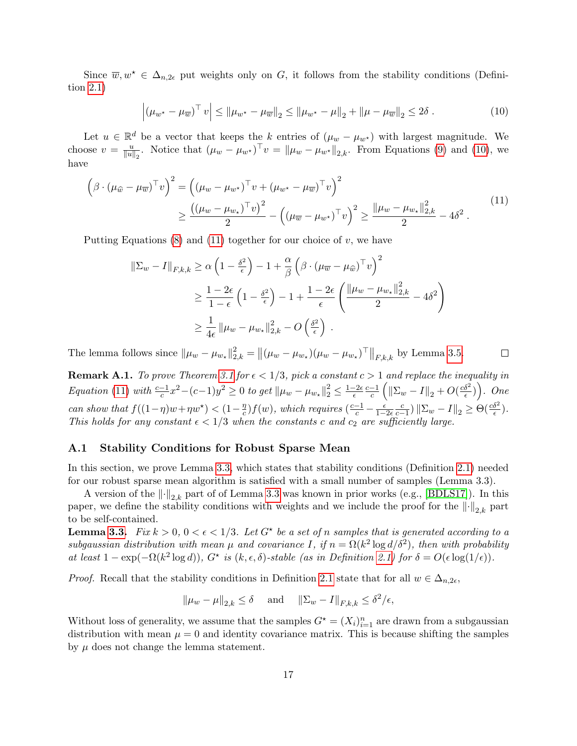Since  $\overline{w}, w^* \in \Delta_{n,2\epsilon}$  put weights only on G, it follows from the stability conditions (Definition [2.1\)](#page-5-0)

<span id="page-17-3"></span><span id="page-17-2"></span>
$$
\left| \left( \mu_{w^{\star}} - \mu_{\overline{w}} \right)^{\top} v \right| \leq \left| \mu_{w^{\star}} - \mu_{\overline{w}} \right|_{2} \leq \left| \mu_{w^{\star}} - \mu \right|_{2} + \left| \mu - \mu_{\overline{w}} \right|_{2} \leq 2\delta . \tag{10}
$$

Let  $u \in \mathbb{R}^d$  be a vector that keeps the k entries of  $(\mu_w - \mu_{w^*})$  with largest magnitude. We choose  $v = \frac{u}{\|u\|}$  $\frac{u}{\|u\|_2}$ . Notice that  $(\mu_w - \mu_{w^*})^\top v = \|\mu_w - \mu_{w^*}\|_{2,k}$ . From Equations [\(9\)](#page-16-2) and [\(10\)](#page-17-2), we have

$$
\left(\beta \cdot (\mu_{\widehat{w}} - \mu_{\overline{w}})^{\top} v\right)^{2} = \left((\mu_{w} - \mu_{w^{\star}})^{\top} v + (\mu_{w^{\star}} - \mu_{\overline{w}})^{\top} v\right)^{2}
$$

$$
\geq \frac{\left((\mu_{w} - \mu_{w_{\star}})^{\top} v\right)^{2}}{2} - \left((\mu_{\overline{w}} - \mu_{w^{\star}})^{\top} v\right)^{2} \geq \frac{\|\mu_{w} - \mu_{w_{\star}}\|_{2,k}^{2}}{2} - 4\delta^{2}.
$$

$$
(11)
$$

Putting Equations  $(8)$  and  $(11)$  together for our choice of v, we have

$$
\|\Sigma_{w} - I\|_{F,k,k} \ge \alpha \left(1 - \frac{\delta^2}{\epsilon}\right) - 1 + \frac{\alpha}{\beta} \left(\beta \cdot (\mu_{\overline{w}} - \mu_{\widehat{w}})^{\top} v\right)^2
$$
  

$$
\ge \frac{1 - 2\epsilon}{1 - \epsilon} \left(1 - \frac{\delta^2}{\epsilon}\right) - 1 + \frac{1 - 2\epsilon}{\epsilon} \left(\frac{\|\mu_{w} - \mu_{w_{\star}}\|_{2,k}^2}{2} - 4\delta^2\right)
$$
  

$$
\ge \frac{1}{4\epsilon} \|\mu_{w} - \mu_{w_{\star}}\|_{2,k}^2 - O\left(\frac{\delta^2}{\epsilon}\right).
$$

The lemma follows since  $\|\mu_w - \mu_{w_\star}\|_{2,k}^2 = \left\| (\mu_w - \mu_{w_\star})(\mu_w - \mu_{w_\star})^\top \right\|_{F,k,k}$  by Lemma [3.5.](#page-7-4)  $\Box$ 

<span id="page-17-0"></span>**Remark A.1.** To prove Theorem [3.1](#page-6-3) for  $\epsilon < 1/3$ , pick a constant  $c > 1$  and replace the inequality in Equation [\(11\)](#page-17-3) with  $\frac{c-1}{c}x^2 - (c-1)y^2 \ge 0$  to get  $\|\mu_w - \mu_{w_{\star}}\|_2^2 \le \frac{1-2\epsilon}{\epsilon}$  $\epsilon$  $c-1$  $\frac{-1}{c}\left(\left\|\Sigma_w-I\right\|_2+O(\frac{c\delta^2}{\epsilon})\right)$  $\left(\frac{\delta^2}{\epsilon}\right)\bigg)$ . One can show that  $f((1-\eta)w + \eta w^*) < (1-\frac{\eta}{c})$  $\frac{m}{c}$ )  $f(w)$ , which requires  $\left(\frac{c-1}{c} - \frac{\epsilon}{1-2\epsilon} \frac{c}{c-1}\right) ||\Sigma_w - I||_2 \geq \Theta(\frac{c\delta^2}{\epsilon}).$ This holds for any constant  $\epsilon < 1/3$  when the constants c and  $c_2$  are sufficiently large.

#### <span id="page-17-1"></span>A.1 Stability Conditions for Robust Sparse Mean

In this section, we prove Lemma [3.3,](#page-7-2) which states that stability conditions (Definition [2.1\)](#page-5-0) needed for our robust sparse mean algorithm is satisfied with a small number of samples (Lemma 3.3).

A version of the  $\lVert \cdot \rVert_{2,k}$  part of of Lemma [3.3](#page-7-2) was known in prior works (e.g., [\[BDLS17\]](#page-13-7)). In this paper, we define the stability conditions with weights and we include the proof for the  $\lVert \cdot \rVert_{2,k}$  part to be self-contained.

**Lemma [3.3.](#page-7-2)** Fix  $k > 0$ ,  $0 < \epsilon < 1/3$ . Let  $G^*$  be a set of n samples that is generated according to a subgaussian distribution with mean  $\mu$  and covariance I, if  $n = \Omega(k^2 \log d/\delta^2)$ , then with probability at least  $1 - \exp(-\Omega(k^2 \log d))$ ,  $G^*$  is  $(k, \epsilon, \delta)$ -stable (as in Definition [2.1\)](#page-5-0) for  $\delta = O(\epsilon \log(1/\epsilon))$ .

*Proof.* Recall that the stability conditions in Definition [2.1](#page-5-0) state that for all  $w \in \Delta_{n,2\epsilon}$ ,

$$
\|\mu_w - \mu\|_{2,k} \le \delta
$$
 and  $\|\Sigma_w - I\|_{F,k,k} \le \delta^2/\epsilon$ ,

Without loss of generality, we assume that the samples  $G^* = (X_i)_{i=1}^n$  are drawn from a subgaussian distribution with mean  $\mu = 0$  and identity covariance matrix. This is because shifting the samples by  $\mu$  does not change the lemma statement.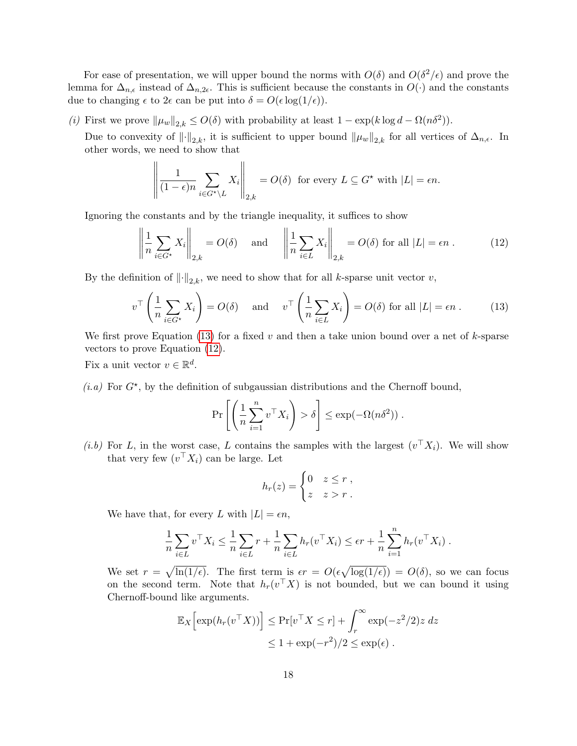For ease of presentation, we will upper bound the norms with  $O(\delta)$  and  $O(\delta^2/\epsilon)$  and prove the lemma for  $\Delta_{n,\epsilon}$  instead of  $\Delta_{n,2\epsilon}$ . This is sufficient because the constants in  $O(\cdot)$  and the constants due to changing  $\epsilon$  to  $2\epsilon$  can be put into  $\delta = O(\epsilon \log(1/\epsilon)).$ 

(i) First we prove  $\|\mu_w\|_{2,k} \leq O(\delta)$  with probability at least  $1 - \exp(k \log d - \Omega(n\delta^2))$ .

Due to convexity of  $\|\cdot\|_{2,k}$ , it is sufficient to upper bound  $\|\mu_w\|_{2,k}$  for all vertices of  $\Delta_{n,\epsilon}$ . In other words, we need to show that

$$
\left\| \frac{1}{(1-\epsilon)n} \sum_{i \in G^* \setminus L} X_i \right\|_{2,k} = O(\delta) \text{ for every } L \subseteq G^* \text{ with } |L| = \epsilon n.
$$

Ignoring the constants and by the triangle inequality, it suffices to show

<span id="page-18-1"></span><span id="page-18-0"></span> $\mathbf{H}$ 

$$
\left\| \frac{1}{n} \sum_{i \in G^*} X_i \right\|_{2,k} = O(\delta) \quad \text{and} \quad \left\| \frac{1}{n} \sum_{i \in L} X_i \right\|_{2,k} = O(\delta) \text{ for all } |L| = \epsilon n \,. \tag{12}
$$

By the definition of  $\|\cdot\|_{2,k}$ , we need to show that for all k-sparse unit vector v,

$$
v^{\top} \left( \frac{1}{n} \sum_{i \in G^*} X_i \right) = O(\delta) \quad \text{and} \quad v^{\top} \left( \frac{1}{n} \sum_{i \in L} X_i \right) = O(\delta) \text{ for all } |L| = \epsilon n \ . \tag{13}
$$

We first prove Equation [\(13\)](#page-18-0) for a fixed v and then a take union bound over a net of  $k$ -sparse vectors to prove Equation [\(12\)](#page-18-1).

Fix a unit vector  $v \in \mathbb{R}^d$ .

 $\overline{11}$ 

 $(i.a)$  For  $G^*$ , by the definition of subgaussian distributions and the Chernoff bound,

$$
\Pr\left[\left(\frac{1}{n}\sum_{i=1}^n v^\top X_i\right) > \delta\right] \le \exp(-\Omega(n\delta^2)) \; .
$$

(*i.b*) For L, in the worst case, L contains the samples with the largest  $(v^{\top} X_i)$ . We will show that very few  $(v^{\top} X_i)$  can be large. Let

$$
h_r(z) = \begin{cases} 0 & z \leq r , \\ z & z > r . \end{cases}
$$

We have that, for every L with  $|L| = \epsilon n$ ,

$$
\frac{1}{n} \sum_{i \in L} v^\top X_i \le \frac{1}{n} \sum_{i \in L} r + \frac{1}{n} \sum_{i \in L} h_r(v^\top X_i) \le \epsilon r + \frac{1}{n} \sum_{i=1}^n h_r(v^\top X_i) .
$$

We set  $r = \sqrt{\ln(1/\epsilon)}$ . The first term is  $\epsilon r = O(\epsilon \sqrt{\log(1/\epsilon)}) = O(\delta)$ , so we can focus on the second term. Note that  $h_r(v^{\top}X)$  is not bounded, but we can bound it using Chernoff-bound like arguments.

$$
\mathbb{E}_X \left[ \exp(h_r(v^\top X)) \right] \le \Pr[v^\top X \le r] + \int_r^\infty \exp(-z^2/2) z \, dz
$$
  

$$
\le 1 + \exp(-r^2)/2 \le \exp(\epsilon).
$$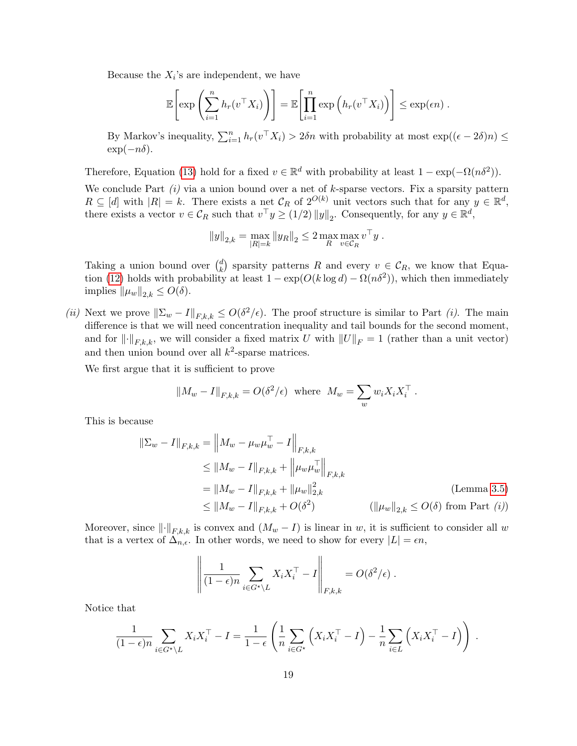Because the  $X_i$ 's are independent, we have

$$
\mathbb{E}\left[\exp\left(\sum_{i=1}^n h_r(v^\top X_i)\right)\right] = \mathbb{E}\left[\prod_{i=1}^n \exp\left(h_r(v^\top X_i)\right)\right] \leq \exp(\epsilon n) .
$$

By Markov's inequality,  $\sum_{i=1}^{n} h_r(v^\top X_i) > 2\delta n$  with probability at most  $\exp((\epsilon - 2\delta)n) \leq$  $\exp(-n\delta)$ .

Therefore, Equation [\(13\)](#page-18-0) hold for a fixed  $v \in \mathbb{R}^d$  with probability at least  $1 - \exp(-\Omega(n\delta^2))$ .

We conclude Part  $(i)$  via a union bound over a net of k-sparse vectors. Fix a sparsity pattern  $R \subseteq [d]$  with  $|R| = k$ . There exists a net  $\mathcal{C}_R$  of  $2^{O(k)}$  unit vectors such that for any  $y \in \mathbb{R}^d$ , there exists a vector  $v \in \mathcal{C}_R$  such that  $v^{\top} y \ge (1/2) ||y||_2$ . Consequently, for any  $y \in \mathbb{R}^d$ ,

$$
||y||_{2,k} = \max_{|R|=k} ||y_R||_2 \le 2 \max_{R} \max_{v \in C_R} v^\top y.
$$

Taking a union bound over  $\binom{d}{k}$  $\mathcal{L}_{k}^{d}$  sparsity patterns R and every  $v \in \mathcal{C}_R$ , we know that Equa-tion [\(12\)](#page-18-1) holds with probability at least  $1 - \exp(O(k \log d) - \Omega(n\delta^2))$ , which then immediately implies  $\|\mu_w\|_{2,k} \leq O(\delta).$ 

(*ii*) Next we prove  $\|\Sigma_w - I\|_{F,k,k} \leq O(\delta^2/\epsilon)$ . The proof structure is similar to Part (*i*). The main difference is that we will need concentration inequality and tail bounds for the second moment, and for  $\lVert \cdot \rVert_{F,k,k}$ , we will consider a fixed matrix U with  $\lVert U \rVert_F = 1$  (rather than a unit vector) and then union bound over all  $k^2$ -sparse matrices.

We first argue that it is sufficient to prove

$$
||M_w - I||_{F,k,k} = O(\delta^2/\epsilon) \text{ where } M_w = \sum_w w_i X_i X_i^{\top}.
$$

This is because

$$
\|\Sigma_w - I\|_{F,k,k} = \|M_w - \mu_w \mu_w^{\top} - I\|_{F,k,k}
$$
  
\n
$$
\leq \|M_w - I\|_{F,k,k} + \|\mu_w \mu_w^{\top}\|_{F,k,k}
$$
  
\n
$$
= \|M_w - I\|_{F,k,k} + \|\mu_w\|_{2,k}^2
$$
 (Lemma 3.5)  
\n
$$
\leq \|M_w - I\|_{F,k,k} + O(\delta^2)
$$
 ( $\|\mu_w\|_{2,k} \leq O(\delta)$  from Part (i))

Moreover, since  $\lVert \cdot \rVert_{F,k,k}$  is convex and  $(M_w - I)$  is linear in w, it is sufficient to consider all w that is a vertex of  $\Delta_{n,\epsilon}$ . In other words, we need to show for every  $|L| = \epsilon n$ ,

$$
\left\| \frac{1}{(1-\epsilon)n} \sum_{i \in G^* \setminus L} X_i X_i^\top - I \right\|_{F,k,k} = O(\delta^2/\epsilon).
$$

Notice that

$$
\frac{1}{(1-\epsilon)n} \sum_{i \in G^* \setminus L} X_i X_i^\top - I = \frac{1}{1-\epsilon} \left( \frac{1}{n} \sum_{i \in G^*} \left( X_i X_i^\top - I \right) - \frac{1}{n} \sum_{i \in L} \left( X_i X_i^\top - I \right) \right) .
$$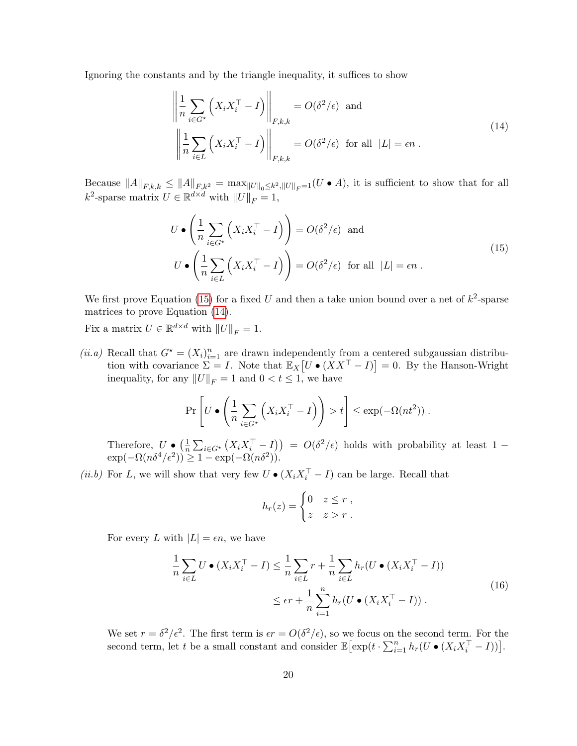Ignoring the constants and by the triangle inequality, it suffices to show

<span id="page-20-1"></span>
$$
\left\| \frac{1}{n} \sum_{i \in G^*} \left( X_i X_i^\top - I \right) \right\|_{F,k,k} = O(\delta^2/\epsilon) \text{ and}
$$
\n
$$
\left\| \frac{1}{n} \sum_{i \in L} \left( X_i X_i^\top - I \right) \right\|_{F,k,k} = O(\delta^2/\epsilon) \text{ for all } |L| = \epsilon n.
$$
\n(14)

Because  $||A||_{F,k,k} \leq ||A||_{F,k^2} = \max_{||U||_0 \leq k^2, ||U||_F = 1} (U \cdot A)$ , it is sufficient to show that for all  $k^2$ -sparse matrix  $U \in \mathbb{R}^{d \times d}$  with  $||U||_F = 1$ ,

<span id="page-20-0"></span>
$$
U \bullet \left(\frac{1}{n} \sum_{i \in G^*} \left(X_i X_i^\top - I\right)\right) = O(\delta^2/\epsilon) \text{ and}
$$
  

$$
U \bullet \left(\frac{1}{n} \sum_{i \in L} \left(X_i X_i^\top - I\right)\right) = O(\delta^2/\epsilon) \text{ for all } |L| = \epsilon n.
$$
 (15)

We first prove Equation [\(15\)](#page-20-0) for a fixed U and then a take union bound over a net of  $k^2$ -sparse matrices to prove Equation [\(14\)](#page-20-1).

Fix a matrix  $U \in \mathbb{R}^{d \times d}$  with  $||U||_F = 1$ .

(*ii.a*) Recall that  $G^* = (X_i)_{i=1}^n$  are drawn independently from a centered subgaussian distribution with covariance  $\Sigma = I$ . Note that  $\mathbb{E}_X[U \bullet (XX^\top - I)] = 0$ . By the Hanson-Wright inequality, for any  $||U||_F = 1$  and  $0 < t \leq 1$ , we have

$$
\Pr\left[U \bullet \left(\frac{1}{n} \sum_{i \in G^*} \left(X_i X_i^\top - I\right)\right) > t\right] \le \exp(-\Omega(nt^2))\;.
$$

Therefore,  $U \bullet \left(\frac{1}{n}\right)$  $\frac{1}{n}\sum_{i\in G^*}\left(X_iX_i^{\top}-I\right) = O(\delta^2/\epsilon)$  holds with probability at least 1 –  $\exp(-\Omega(n\delta^4/\epsilon^2)) \geq 1 - \exp(-\Omega(n\delta^2)).$ 

(ii.b) For L, we will show that very few  $U \bullet (X_i X_i^{\top} - I)$  can be large. Recall that

<span id="page-20-2"></span>
$$
h_r(z) = \begin{cases} 0 & z \leq r, \\ z & z > r. \end{cases}
$$

For every L with  $|L| = \epsilon n$ , we have

$$
\frac{1}{n}\sum_{i\in L} U \bullet (X_i X_i^\top - I) \le \frac{1}{n}\sum_{i\in L} r + \frac{1}{n}\sum_{i\in L} h_r (U \bullet (X_i X_i^\top - I))
$$
\n
$$
\le \epsilon r + \frac{1}{n}\sum_{i=1}^n h_r (U \bullet (X_i X_i^\top - I)) .
$$
\n(16)

We set  $r = \delta^2/\epsilon^2$ . The first term is  $\epsilon r = O(\delta^2/\epsilon)$ , so we focus on the second term. For the second term, let t be a small constant and consider  $\mathbb{E} \left[ \exp(t \cdot \sum_{i=1}^n h_r(U \bullet (X_i X_i^{\top} - I)) \right]$ .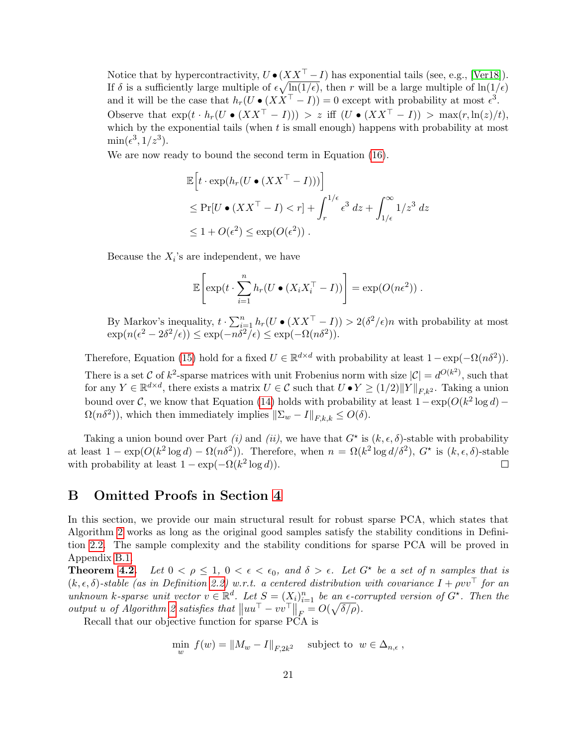Notice that by hypercontractivity,  $U \bullet (XX^\top - I)$  has exponential tails (see, e.g., [\[Ver18\]](#page-15-5)). If  $\delta$  is a sufficiently large multiple of  $\epsilon \sqrt{\ln(1/\epsilon)}$ , then r will be a large multiple of  $\ln(1/\epsilon)$ and it will be the case that  $h_r(U \bullet (XX^\top - I)) = 0$  except with probability at most  $\epsilon^3$ . Observe that  $\exp(t \cdot h_r(U \bullet (XX^\top - I))) > z$  iff  $(U \bullet (XX^\top - I)) > \max(r, \ln(z)/t)$ , which by the exponential tails (when  $t$  is small enough) happens with probability at most  $\min(\epsilon^3, 1/z^3).$ 

We are now ready to bound the second term in Equation [\(16\)](#page-20-2).

$$
\mathbb{E}\left[t \cdot \exp(h_r(U \bullet (XX^\top - I)))\right]
$$
  
\n
$$
\leq \Pr[U \bullet (XX^\top - I) < r] + \int_r^{1/\epsilon} \epsilon^3 \, dz + \int_{1/\epsilon}^\infty 1/z^3 \, dz
$$
  
\n
$$
\leq 1 + O(\epsilon^2) \leq \exp(O(\epsilon^2)).
$$

Because the  $X_i$ 's are independent, we have

$$
\mathbb{E}\left[\exp(t\cdot\sum_{i=1}^n h_r(U\bullet(X_iX_i^\top - I))\right] = \exp(O(n\epsilon^2)).
$$

By Markov's inequality,  $t \cdot \sum_{i=1}^n h_r(U \bullet (XX^\top - I)) > 2(\delta^2/\epsilon)n$  with probability at most  $\exp(n(\epsilon^2 - 2\delta^2/\epsilon)) \leq \exp(-n\delta^2/\epsilon) \leq \exp(-\Omega(n\delta^2)).$ 

Therefore, Equation [\(15\)](#page-20-0) hold for a fixed  $U \in \mathbb{R}^{d \times d}$  with probability at least  $1 - \exp(-\Omega(n\delta^2))$ . There is a set C of  $k^2$ -sparse matrices with unit Frobenius norm with size  $|\mathcal{C}| = d^{O(k^2)}$ , such that for any  $Y \in \mathbb{R}^{d \times d}$ , there exists a matrix  $U \in \mathcal{C}$  such that  $U \bullet Y \ge (1/2) ||Y||_{F,k^2}$ . Taking a union bound over C, we know that Equation [\(14\)](#page-20-1) holds with probability at least  $1 - \exp(O(k^2 \log d) \Omega(n\delta^2)$ , which then immediately implies  $\|\Sigma_w - I\|_{F,k,k} \leq O(\delta)$ .

Taking a union bound over Part (i) and (ii), we have that  $G^*$  is  $(k, \epsilon, \delta)$ -stable with probability at least  $1 - \exp(O(k^2 \log d) - \Omega(n\delta^2))$ . Therefore, when  $n = \Omega(k^2 \log d/\delta^2)$ ,  $G^*$  is  $(k, \epsilon, \delta)$ -stable with probability at least  $1 - \exp(-\Omega(k^2 \log d)).$  $\Box$ 

## <span id="page-21-0"></span>B Omitted Proofs in Section [4](#page-9-0)

In this section, we provide our main structural result for robust sparse PCA, which states that Algorithm [2](#page-10-1) works as long as the original good samples satisfy the stability conditions in Definition [2.2.](#page-6-0) The sample complexity and the stability conditions for sparse PCA will be proved in Appendix [B.1.](#page-24-0)

**Theorem [4.2.](#page-10-2)** Let  $0 < \rho \leq 1$ ,  $0 < \epsilon < \epsilon_0$ , and  $\delta > \epsilon$ . Let  $G^*$  be a set of n samples that is  $(k, \epsilon, \delta)$ -stable (as in Definition [2.2\)](#page-6-0) w.r.t. a centered distribution with covariance  $I + \rho v v^{\top}$  for an unknown k-sparse unit vector  $v \in \mathbb{R}^d$ . Let  $S = (X_i)_{i=1}^n$  be an  $\epsilon$ -corrupted version of  $G^*$ . Then the output u of Algorithm [2](#page-10-1) satisfies that  $\|uu^{\top} - vv^{\top}\|_F = O(\sqrt{\delta/\rho}).$ 

Recall that our objective function for sparse PCA is

$$
\min_{w} f(w) = \|M_w - I\|_{F, 2k^2} \quad \text{subject to } w \in \Delta_{n, \epsilon} ,
$$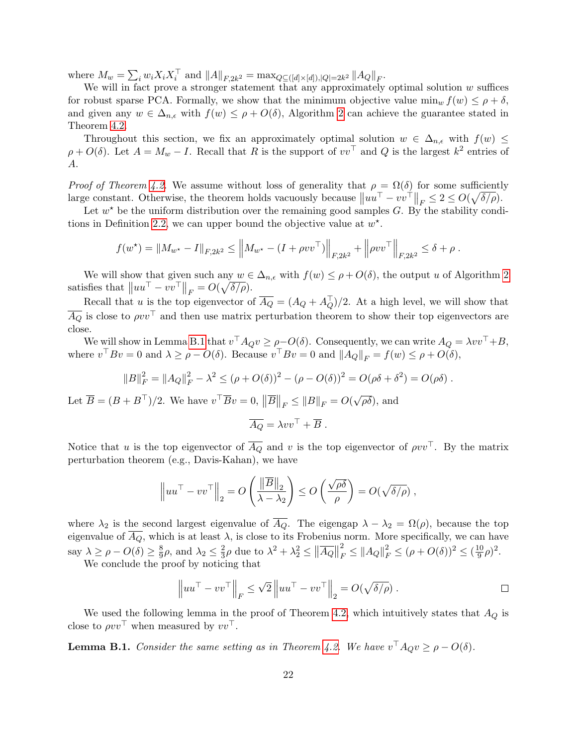where  $M_w = \sum_i w_i X_i X_i^{\top}$  and  $||A||_{F,2k^2} = \max_{Q \subseteq ( [d] \times [d]), |Q| = 2k^2} ||A_Q||_F$ .

We will in fact prove a stronger statement that any approximately optimal solution  $w$  suffices for robust sparse PCA. Formally, we show that the minimum objective value  $\min_w f(w) \leq \rho + \delta$ , and given any  $w \in \Delta_{n,\epsilon}$  with  $f(w) \leq \rho + O(\delta)$ , Algorithm [2](#page-10-1) can achieve the guarantee stated in Theorem [4.2.](#page-10-2)

Throughout this section, we fix an approximately optimal solution  $w \in \Delta_{n,\epsilon}$  with  $f(w) \leq$  $\rho + O(\delta)$ . Let  $A = M_w - I$ . Recall that R is the support of  $vv^{\top}$  and Q is the largest  $k^2$  entries of A.

*Proof of Theorem [4.2.](#page-10-2)* We assume without loss of generality that  $\rho = \Omega(\delta)$  for some sufficiently large constant. Otherwise, the theorem holds vacuously because  $||uu^\top - vv^\top||_F \leq 2 \leq O(\sqrt{\delta/\rho}).$ 

Let  $w^*$  be the uniform distribution over the remaining good samples G. By the stability condi-tions in Definition [2.2,](#page-6-0) we can upper bound the objective value at  $w^*$ .

$$
f(w^*) = ||M_{w^*} - I||_{F,2k^2} \le ||M_{w^*} - (I + \rho vv^\top)||_{F,2k^2} + ||\rho vv^\top||_{F,2k^2} \le \delta + \rho.
$$

We will show that given such any  $w \in \Delta_{n,\epsilon}$  with  $f(w) \leq \rho + O(\delta)$ , the output u of Algorithm [2](#page-10-1) satisfies that  $||uu^{\top} - vv^{\top}||_F = O(\sqrt{\delta/\rho}).$ 

Recall that u is the top eigenvector of  $\overline{A_Q} = (A_Q + A_Q^{\top})/2$ . At a high level, we will show that  $\overline{A_Q}$  is close to  $\rho v v^\top$  and then use matrix perturbation theorem to show their top eigenvectors are close.

We will show in Lemma [B.1](#page-22-0) that  $v^{\top} A_{Q}v \geq \rho - O(\delta)$ . Consequently, we can write  $A_{Q} = \lambda vv^{\top} + B$ , where  $v^{\top} B v = 0$  and  $\lambda \ge \rho - O(\delta)$ . Because  $v^{\top} B v = 0$  and  $||A_Q||_F = f(w) \le \rho + O(\delta)$ ,

$$
||B||_F^2 = ||A_Q||_F^2 - \lambda^2 \le (\rho + O(\delta))^2 - (\rho - O(\delta))^2 = O(\rho\delta + \delta^2) = O(\rho\delta).
$$

Let  $\overline{B} = (B + B^{\top})/2$ . We have  $v^{\top} \overline{B} v = 0$ ,  $\|\overline{B}\|_{F} \leq \|B\|_{F} = O(\sqrt{2})$  $\overline{\rho\delta}$ ), and

$$
\overline{A_Q} = \lambda v v^\top + \overline{B} .
$$

Notice that u is the top eigenvector of  $\overline{A_Q}$  and v is the top eigenvector of  $\rho v v^\top$ . By the matrix perturbation theorem (e.g., Davis-Kahan), we have

$$
\left\|uu^{\top}-vv^{\top}\right\|_2 = O\left(\frac{\left\|\overline{B}\right\|_2}{\lambda-\lambda_2}\right) \le O\left(\frac{\sqrt{\rho\delta}}{\rho}\right) = O(\sqrt{\delta/\rho}),
$$

where  $\lambda_2$  is the second largest eigenvalue of  $\overline{A_Q}$ . The eigengap  $\lambda - \lambda_2 = \Omega(\rho)$ , because the top eigenvalue of  $\overline{A_Q}$ , which is at least  $\lambda$ , is close to its Frobenius norm. More specifically, we can have say  $\lambda \geq \rho - O(\delta) \geq \frac{8}{9}$  $\frac{8}{9}\rho$ , and  $\lambda_2 \leq \frac{2}{3}$  $\frac{2}{3}\rho$  due to  $\lambda^2 + \lambda_2^2 \leq ||\overline{A_Q}||$ 2  $\frac{2}{F} \leq ||A_Q||_F^2 \leq (\rho + O(\delta))^2 \leq (\frac{10}{9})$  $\frac{10}{9}\rho)^2$ .

We conclude the proof by noticing that

$$
\left\|uu^{\top}-vv^{\top}\right\|_{F} \leq \sqrt{2}\left\|uu^{\top}-vv^{\top}\right\|_{2} = O(\sqrt{\delta/\rho}).
$$

We used the following lemma in the proof of Theorem [4.2,](#page-10-2) which intuitively states that  $A_Q$  is close to  $\rho v v^{\top}$  when measured by  $v v^{\top}$ .

<span id="page-22-0"></span>**Lemma B.1.** Consider the same setting as in Theorem [4.2.](#page-10-2) We have  $v^{\top} A_{Q} v \ge \rho - O(\delta)$ .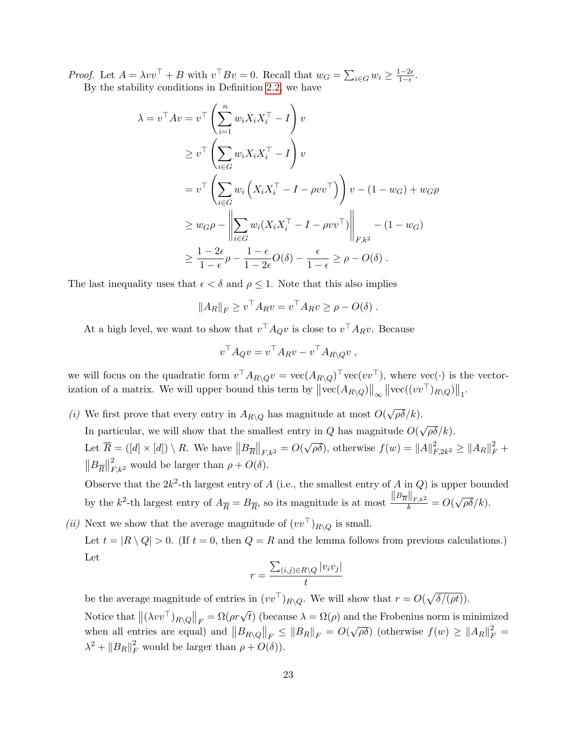*Proof.* Let  $A = \lambda vv^{\top} + B$  with  $v^{\top} Bv = 0$ . Recall that  $w_G = \sum_{i \in G} w_i \ge \frac{1-2\epsilon}{1-\epsilon}$  $rac{1-2\epsilon}{1-\epsilon}$ . By the stability conditions in Definition [2.2,](#page-6-0) we have

 $\lambda$ 

$$
= v^{\top}Av = v^{\top} \left( \sum_{i=1}^{n} w_i X_i X_i^{\top} - I \right) v
$$
  
\n
$$
\geq v^{\top} \left( \sum_{i \in G} w_i X_i X_i^{\top} - I \right) v
$$
  
\n
$$
= v^{\top} \left( \sum_{i \in G} w_i \left( X_i X_i^{\top} - I - \rho v v^{\top} \right) \right) v - (1 - w_G) + w_G \rho
$$
  
\n
$$
\geq w_G \rho - \left\| \sum_{i \in G} w_i (X_i X_i^{\top} - I - \rho v v^{\top}) \right\|_{F,k^2} - (1 - w_G)
$$
  
\n
$$
\geq \frac{1 - 2\epsilon}{1 - \epsilon} \rho - \frac{1 - \epsilon}{1 - 2\epsilon} O(\delta) - \frac{\epsilon}{1 - \epsilon} \geq \rho - O(\delta).
$$

The last inequality uses that  $\epsilon < \delta$  and  $\rho \leq 1$ . Note that this also implies

$$
||A_R||_F \ge v^\top A_R v = v^\top A_R v \ge \rho - O(\delta) .
$$

At a high level, we want to show that  $v^{\top} A_{Q} v$  is close to  $v^{\top} A_{R} v$ . Because

$$
v^{\top} A_Q v = v^{\top} A_R v - v^{\top} A_{R \setminus Q} v ,
$$

we will focus on the quadratic form  $v^{\top} A_{R\setminus Q}v = \text{vec}(A_{R\setminus Q})^{\top} \text{vec}(v v^{\top}),$  where  $\text{vec}(\cdot)$  is the vectorization of a matrix. We will upper bound this term by  $\left\|\text{vec}(A_{R\setminus Q})\right\|_{\infty} \left\|\text{vec}((vv^\top)_{R\setminus Q})\right\|_1$ .

(i) We first prove that every entry in  $A_{R\setminus Q}$  has magnitude at most  $O(q)$ √  $\overline{\rho\delta}/k$ ).

In particular, we will show that the smallest entry in  $Q$  has magnitude  $O($ √  $\overline{\rho\delta}/k$ ).

Let  $\overline{R} = ([d] \times [d]) \setminus R$ . We have  $||B_{\overline{R}}||_{F,k^2} = O(q)$ √  $\overline{\rho\delta}$ , otherwise  $f(w) = ||A||_F^2$  $_{F,2k^2}^2 \geq \|A_R\|_F^2 +$  $||B_{\overline{R}}||$  $_{F,k^2}^2$  would be larger than  $\rho + O(\delta)$ .

Observe that the  $2k^2$ -th largest entry of A (i.e., the smallest entry of A in Q) is upper bounded by the  $k^2$ -th largest entry of  $A_{\overline{R}} = B_{\overline{R}}$ , so its magnitude is at most  $\frac{\|B_{\overline{R}}\|_{F,k^2}}{k} = O(k)$ √  $\overline{\rho\delta}/k$ ).

(ii) Next we show that the average magnitude of  $(vv^{\top})_{R\setminus O}$  is small.

Let  $t = |R \setminus Q| > 0$ . (If  $t = 0$ , then  $Q = R$  and the lemma follows from previous calculations.) Let

$$
r = \frac{\sum_{(i,j)\in R\setminus Q} |v_i v_j|}{t}
$$

be the average magnitude of entries in  $(vv^{\top})_{R\setminus Q}$ . We will show that  $r = O(\sqrt{\delta/(\rho t)})$ . Notice that  $\left\|(\lambda vv^\top)_{R\setminus Q}\right\|_F = \Omega(\rho r \sqrt{t})$  (because  $\lambda = \Omega(\rho)$  and the Frobenius norm is minimized when all entries are equal) and  $||B_{R\setminus Q}||_F \leq ||B_R||_F = O$ √  $\overline{\rho\delta}$ ) (otherwise  $f(w) \geq ||A_R||_F^2 =$  $\lambda^2 + ||B_R||_F^2$  would be larger than  $\rho + O(\delta)$ .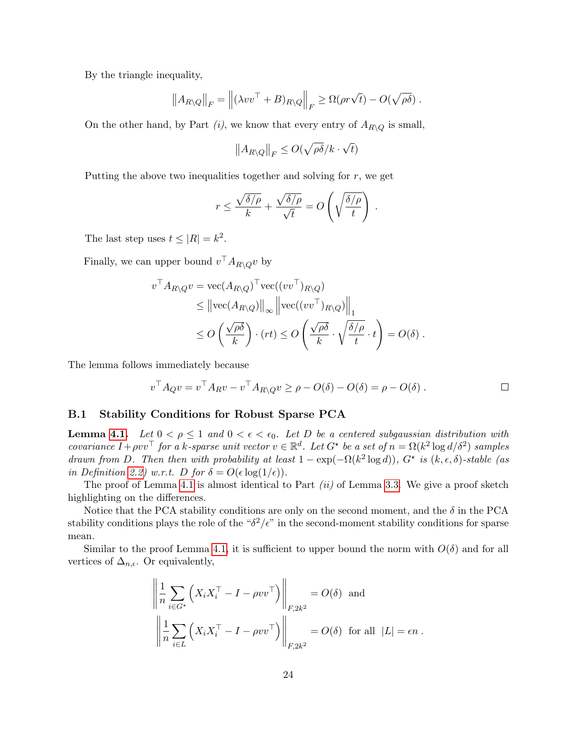By the triangle inequality,

$$
||A_{R\setminus Q}||_F = ||(\lambda vv^\top + B)_{R\setminus Q}||_F \geq \Omega(\rho r \sqrt{t}) - O(\sqrt{\rho \delta}).
$$

On the other hand, by Part  $(i)$ , we know that every entry of  $A_{R\setminus Q}$  is small,

$$
||A_{R\setminus Q}||_F \leq O(\sqrt{\rho\delta}/k \cdot \sqrt{t})
$$

Putting the above two inequalities together and solving for  $r$ , we get

$$
r \le \frac{\sqrt{\delta/\rho}}{k} + \frac{\sqrt{\delta/\rho}}{\sqrt{t}} = O\left(\sqrt{\frac{\delta/\rho}{t}}\right) .
$$

The last step uses  $t \leq |R| = k^2$ .

Finally, we can upper bound  $v^{\top} A_{R\setminus Q} v$  by

$$
v^{\top} A_{R \setminus Q} v = \text{vec}(A_{R \setminus Q})^{\top} \text{vec}((vv^{\top})_{R \setminus Q})
$$
  
\$\leq\$  $||\text{vec}(A_{R \setminus Q})||_{\infty} ||\text{vec}((vv^{\top})_{R \setminus Q})||_{1}$   
\$\leq\$  $O\left(\frac{\sqrt{\rho \delta}}{k}\right) \cdot (rt) \leq O\left(\frac{\sqrt{\rho \delta}}{k} \cdot \sqrt{\frac{\delta/\rho}{t}} \cdot t\right) = O(\delta)$.$ 

The lemma follows immediately because

$$
v^{\top} A_{Q} v = v^{\top} A_{R} v - v^{\top} A_{R \setminus Q} v \ge \rho - O(\delta) - O(\delta) = \rho - O(\delta) . \qquad \qquad \Box
$$

#### <span id="page-24-0"></span>B.1 Stability Conditions for Robust Sparse PCA

**Lemma [4.1.](#page-9-1)** Let  $0 < \rho \leq 1$  and  $0 < \epsilon < \epsilon_0$ . Let D be a centered subgaussian distribution with covariance  $I + \rho v v^{\top}$  for a k-sparse unit vector  $v \in \mathbb{R}^d$ . Let  $G^*$  be a set of  $n = \Omega(k^2 \log d/\delta^2)$  samples drawn from D. Then then with probability at least  $1 - \exp(-\Omega(k^2 \log d))$ ,  $G^*$  is  $(k, \epsilon, \delta)$ -stable (as in Definition [2.2\)](#page-6-0) w.r.t. D for  $\delta = O(\epsilon \log(1/\epsilon)).$ 

The proof of Lemma [4.1](#page-9-1) is almost identical to Part  $(ii)$  of Lemma [3.3.](#page-7-2) We give a proof sketch highlighting on the differences.

Notice that the PCA stability conditions are only on the second moment, and the  $\delta$  in the PCA stability conditions plays the role of the " $\delta^2/\epsilon$ " in the second-moment stability conditions for sparse mean.

Similar to the proof Lemma [4.1,](#page-9-1) it is sufficient to upper bound the norm with  $O(\delta)$  and for all vertices of  $\Delta_{n,\epsilon}$ . Or equivalently,

$$
\left\| \frac{1}{n} \sum_{i \in G^*} \left( X_i X_i^\top - I - \rho v v^\top \right) \right\|_{F, 2k^2} = O(\delta) \text{ and}
$$
  

$$
\left\| \frac{1}{n} \sum_{i \in L} \left( X_i X_i^\top - I - \rho v v^\top \right) \right\|_{F, 2k^2} = O(\delta) \text{ for all } |L| = \epsilon n.
$$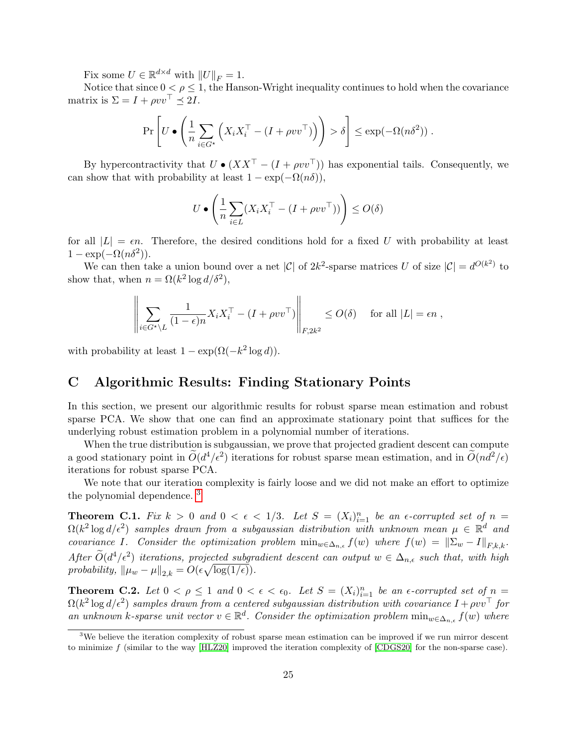Fix some  $U \in \mathbb{R}^{d \times d}$  with  $||U||_F = 1$ .

Notice that since  $0 < \rho \leq 1$ , the Hanson-Wright inequality continues to hold when the covariance matrix is  $\Sigma = I + \rho v v^{\top} \preceq 2I$ .

$$
\Pr\left[U\bullet\left(\frac{1}{n}\sum_{i\in G^\star}\left(X_iX_i^\top - (I+\rho vv^\top)\right)\right) > \delta\right] \leq \exp(-\Omega(n\delta^2))\;.
$$

By hypercontractivity that  $U \bullet (XX^{\top} - (I + \rho vv^{\top}))$  has exponential tails. Consequently, we can show that with probability at least  $1 - \exp(-\Omega(n\delta)),$ 

$$
U \bullet \left(\frac{1}{n} \sum_{i \in L} (X_i X_i^\top - (I + \rho v v^\top))\right) \leq O(\delta)
$$

for all  $|L| = \epsilon n$ . Therefore, the desired conditions hold for a fixed U with probability at least  $1 - \exp(-\Omega(n\delta^2)).$ 

We can then take a union bound over a net |C| of  $2k^2$ -sparse matrices U of size  $|\mathcal{C}| = d^{O(k^2)}$  to show that, when  $n = \Omega(k^2 \log d/\delta^2)$ ,

$$
\left\| \sum_{i \in G^* \setminus L} \frac{1}{(1 - \epsilon)n} X_i X_i^\top - (I + \rho v v^\top) \right\|_{F, 2k^2} \le O(\delta) \quad \text{ for all } |L| = \epsilon n,
$$

with probability at least  $1 - \exp(\Omega(-k^2 \log d)).$ 

## <span id="page-25-0"></span>C Algorithmic Results: Finding Stationary Points

In this section, we present our algorithmic results for robust sparse mean estimation and robust sparse PCA. We show that one can find an approximate stationary point that suffices for the underlying robust estimation problem in a polynomial number of iterations.

When the true distribution is subgaussian, we prove that projected gradient descent can compute a good stationary point in  $\tilde{O}(d^4/\epsilon^2)$  iterations for robust sparse mean estimation, and in  $\tilde{O}(nd^2/\epsilon)$ iterations for robust sparse PCA.

We note that our iteration complexity is fairly loose and we did not make an effort to optimize the polynomial dependence. [3](#page-25-1)

<span id="page-25-2"></span>**Theorem C.1.** Fix  $k > 0$  and  $0 < \epsilon < 1/3$ . Let  $S = (X_i)_{i=1}^n$  be an  $\epsilon$ -corrupted set of  $n =$  $\Omega(k^2\log d/\epsilon^2)$  samples drawn from a subgaussian distribution with unknown mean  $\mu \in \mathbb{R}^d$  and covariance I. Consider the optimization problem  $\min_{w \in \Delta_{n,\epsilon}} f(w)$  where  $f(w) = ||\Sigma_w - I||_{F,k,k}$ . After  $\widetilde{O}(d^4/\epsilon^2)$  iterations, projected subgradient descent can output  $w \in \Delta_{n,\epsilon}$  such that, with high probability,  $\|\mu_w - \mu\|_{2,k} = O(\epsilon \sqrt{\log(1/\epsilon)})$ .

<span id="page-25-3"></span>**Theorem C.2.** Let  $0 < \rho \leq 1$  and  $0 < \epsilon < \epsilon_0$ . Let  $S = (X_i)_{i=1}^n$  be an  $\epsilon$ -corrupted set of  $n =$  $\Omega(k^2\log d/\epsilon^2)$  samples drawn from a centered subgaussian distribution with covariance  $I + \rho v v^\top$  for an unknown k-sparse unit vector  $v \in \mathbb{R}^d$ . Consider the optimization problem  $\min_{w \in \Delta_{n,\epsilon}} f(w)$  where

<span id="page-25-1"></span><sup>&</sup>lt;sup>3</sup>We believe the iteration complexity of robust sparse mean estimation can be improved if we run mirror descent to minimize  $f$  (similar to the way [\[HLZ20\]](#page-14-14) improved the iteration complexity of [\[CDGS20\]](#page-13-6) for the non-sparse case).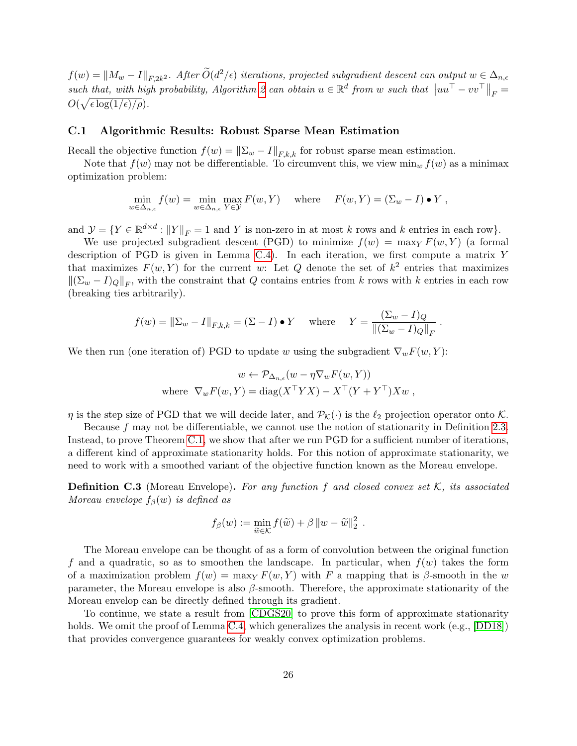$\mathcal{L}(w) = \|M_w - I\|_{F,2k^2}$ . After  $\widetilde{O}(d^2/\epsilon)$  iterations, projected subgradient descent can output  $w \in \Delta_{n,\epsilon}$ such that, with high probability, Algorithm [2](#page-10-1) can obtain  $u \in \mathbb{R}^d$  from w such that  $||uu^{\top} - vv^{\top}||_F =$  $O(\sqrt{\epsilon \log(1/\epsilon)/\rho}).$ 

#### C.1 Algorithmic Results: Robust Sparse Mean Estimation

Recall the objective function  $f(w) = \|\Sigma_w - I\|_{F,k,k}$  for robust sparse mean estimation.

Note that  $f(w)$  may not be differentiable. To circumvent this, we view  $\min_w f(w)$  as a minimax optimization problem:

$$
\min_{w \in \Delta_{n,\epsilon}} f(w) = \min_{w \in \Delta_{n,\epsilon}} \max_{Y \in \mathcal{Y}} F(w, Y) \quad \text{where} \quad F(w, Y) = (\Sigma_w - I) \bullet Y,
$$

and  $\mathcal{Y} = \{ Y \in \mathbb{R}^{d \times d} : ||Y||_F = 1 \text{ and } Y \text{ is non-zero in at most } k \text{ rows and } k \text{ entries in each row} \}.$ 

We use projected subgradient descent (PGD) to minimize  $f(w) = \max_{Y} F(w, Y)$  (a formal description of PGD is given in Lemma [C.4\)](#page-27-0). In each iteration, we first compute a matrix Y that maximizes  $F(w, Y)$  for the current w: Let Q denote the set of  $k^2$  entries that maximizes  $\|(\Sigma_w - I)_Q\|_F$ , with the constraint that Q contains entries from k rows with k entries in each row (breaking ties arbitrarily).

$$
f(w) = \|\Sigma_w - I\|_{F,k,k} = (\Sigma - I) \bullet Y \quad \text{where} \quad Y = \frac{(\Sigma_w - I)Q}{\|(\Sigma_w - I)Q\|_F}
$$

.

We then run (one iteration of) PGD to update w using the subgradient  $\nabla_w F(w, Y)$ :

$$
w \leftarrow \mathcal{P}_{\Delta_{n,\epsilon}}(w - \eta \nabla_w F(w, Y))
$$
  
where 
$$
\nabla_w F(w, Y) = \text{diag}(X^{\top} Y X) - X^{\top} (Y + Y^{\top}) X w,
$$

 $\eta$  is the step size of PGD that we will decide later, and  $\mathcal{P}_{\mathcal{K}}(\cdot)$  is the  $\ell_2$  projection operator onto K.

Because f may not be differentiable, we cannot use the notion of stationarity in Definition [2.3.](#page-6-5) Instead, to prove Theorem [C.1,](#page-25-2) we show that after we run PGD for a sufficient number of iterations, a different kind of approximate stationarity holds. For this notion of approximate stationarity, we need to work with a smoothed variant of the objective function known as the Moreau envelope.

<span id="page-26-0"></span>**Definition C.3** (Moreau Envelope). For any function f and closed convex set K, its associated Moreau envelope  $f_\beta(w)$  is defined as

$$
f_{\beta}(w) := \min_{\widetilde{w} \in \mathcal{K}} f(\widetilde{w}) + \beta \|w - \widetilde{w}\|_2^2.
$$

The Moreau envelope can be thought of as a form of convolution between the original function f and a quadratic, so as to smoothen the landscape. In particular, when  $f(w)$  takes the form of a maximization problem  $f(w) = \max_{Y} F(w, Y)$  with F a mapping that is β-smooth in the w parameter, the Moreau envelope is also  $\beta$ -smooth. Therefore, the approximate stationarity of the Moreau envelop can be directly defined through its gradient.

To continue, we state a result from [\[CDGS20\]](#page-13-6) to prove this form of approximate stationarity holds. We omit the proof of Lemma [C.4,](#page-27-0) which generalizes the analysis in recent work (e.g., [\[DD18\]](#page-13-11)) that provides convergence guarantees for weakly convex optimization problems.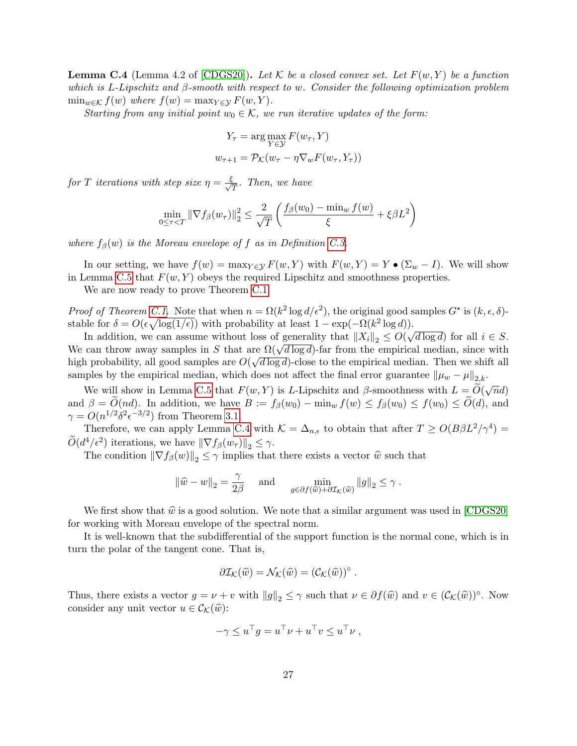<span id="page-27-0"></span>**Lemma C.4** (Lemma 4.2 of [\[CDGS20\]](#page-13-6)). Let K be a closed convex set. Let  $F(w, Y)$  be a function which is L-Lipschitz and β-smooth with respect to w. Consider the following optimization problem  $\min_{w \in \mathcal{K}} f(w)$  where  $f(w) = \max_{Y \in \mathcal{Y}} F(w, Y)$ .

Starting from any initial point  $w_0 \in \mathcal{K}$ , we run iterative updates of the form:

$$
Y_{\tau} = \arg \max_{Y \in \mathcal{Y}} F(w_{\tau}, Y)
$$

$$
w_{\tau+1} = \mathcal{P}_{\mathcal{K}}(w_{\tau} - \eta \nabla_w F(w_{\tau}, Y_{\tau}))
$$

for T iterations with step size  $\eta = \frac{\xi}{\sqrt{T}}$ . Then, we have

$$
\min_{0 \le \tau < T} \|\nabla f_{\beta}(w_{\tau})\|_{2}^{2} \le \frac{2}{\sqrt{T}} \left( \frac{f_{\beta}(w_{0}) - \min_{w} f(w)}{\xi} + \xi \beta L^{2} \right)
$$

where  $f_{\beta}(w)$  is the Moreau envelope of f as in Definition [C.3.](#page-26-0)

In our setting, we have  $f(w) = \max_{Y \in \mathcal{Y}} F(w, Y)$  with  $F(w, Y) = Y \bullet (\Sigma_w - I)$ . We will show in Lemma [C.5](#page-28-0) that  $F(w, Y)$  obeys the required Lipschitz and smoothness properties.

We are now ready to prove Theorem [C.1.](#page-25-2)

Proof of Theorem [C.1.](#page-25-2) Note that when  $n = \Omega(k^2 \log d/\epsilon^2)$ , the original good samples  $G^*$  is  $(k, \epsilon, \delta)$ stable for  $\delta = O(\epsilon \sqrt{\log(1/\epsilon)})$  with probability at least  $1 - \exp(-\Omega(k^2 \log d))$ .

In addition, we can assume without loss of generality that  $||X_i||_2 \leq O(\sqrt{d \log d})$  for all  $i \in S$ . In addition, we can assume without loss of generality that  $||A_i||_2 \leq U(\sqrt{a} \log a)$  for an  $i \in S$ .<br>We can throw away samples in S that are  $\Omega(\sqrt{d} \log d)$ -far from the empirical median, since with high probability, all good samples are  $O(\sqrt{d \log d})$ -close to the empirical median. Then we shift all samples by the empirical median, which does not affect the final error guarantee  $\|\mu_w - \mu\|_{2,k}$ .

We will show in Lemma [C.5](#page-28-0) that  $F(w, Y)$  is L-Lipschitz and  $\beta$ -smoothness with  $L = \widetilde{O}(\sqrt{n}d)$ and  $\beta = O(nd)$ . In addition, we have  $B := f_{\beta}(w_0) - \min_w f(w) \leq f_{\beta}(w_0) \leq f(w_0) \leq O(d)$ , and  $\gamma = O(n^{1/2} \delta^2 \epsilon^{-3/2})$  from Theorem [3.1.](#page-6-3)

Therefore, we can apply Lemma [C.4](#page-27-0) with  $\mathcal{K} = \Delta_{n,\epsilon}$  to obtain that after  $T \ge O(B\beta L^2/\gamma^4) =$  $\widetilde{O}(d^4/\epsilon^2)$  iterations, we have  $\|\nabla f_\beta(w_\tau)\|_2 \leq \gamma$ .

The condition  $\|\nabla f_{\beta}(w)\|_{2} \leq \gamma$  implies that there exists a vector  $\hat{w}$  such that

$$
\|\widehat{w} - w\|_2 = \frac{\gamma}{2\beta} \quad \text{and} \quad \min_{g \in \partial f(\widehat{w}) + \partial \mathcal{I}_\mathcal{K}(\widehat{w})} \|g\|_2 \le \gamma.
$$

We first show that  $\hat{w}$  is a good solution. We note that a similar argument was used in [\[CDGS20\]](#page-13-6) for working with Moreau envelope of the spectral norm.

It is well-known that the subdifferential of the support function is the normal cone, which is in turn the polar of the tangent cone. That is,

$$
\partial \mathcal{I}_{\mathcal{K}}(\widehat{w}) = \mathcal{N}_{\mathcal{K}}(\widehat{w}) = (\mathcal{C}_{\mathcal{K}}(\widehat{w}))^{\circ}.
$$

Thus, there exists a vector  $g = \nu + v$  with  $||g||_2 \leq \gamma$  such that  $\nu \in \partial f(\widehat{w})$  and  $v \in (\mathcal{C}_{\mathcal{K}}(\widehat{w}))^{\circ}$ . Now consider any unit vector  $u \in \mathcal{C}_{\mathcal{K}}(\widehat{w})$ :

$$
-\gamma \leq u^{\top}g = u^{\top}\nu + u^{\top}v \leq u^{\top}\nu ,
$$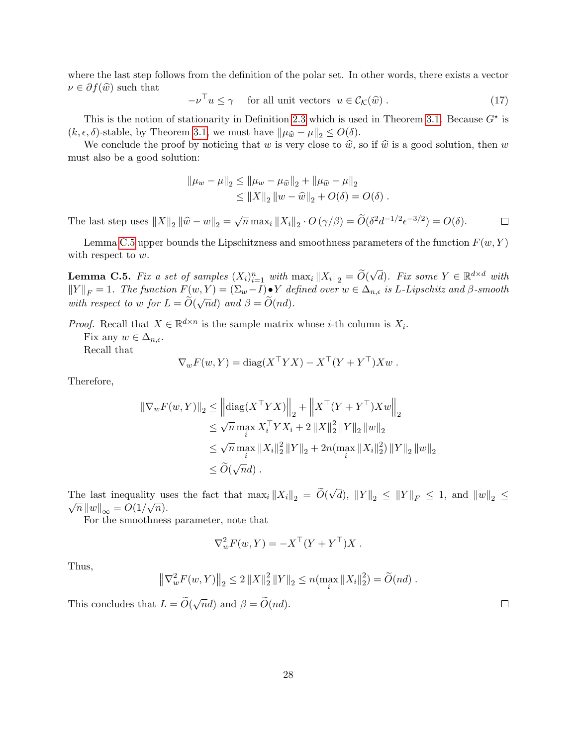where the last step follows from the definition of the polar set. In other words, there exists a vector  $\nu \in \partial f(\widehat{w})$  such that

 $-\nu^{\top} u \leq \gamma$  for all unit vectors  $u \in \mathcal{C}_{\mathcal{K}}(\widehat{w})$ . (17)

This is the notion of stationarity in Definition [2.3](#page-6-5) which is used in Theorem [3.1.](#page-6-3) Because  $G^*$  is  $(k, \epsilon, \delta)$ -stable, by Theorem [3.1,](#page-6-3) we must have  $\|\mu_{\hat{w}} - \mu\|_2 \leq O(\delta)$ .

We conclude the proof by noticing that w is very close to  $\hat{w}$ , so if  $\hat{w}$  is a good solution, then w must also be a good solution:

$$
\|\mu_w - \mu\|_2 \le \|\mu_w - \mu_{\widehat{w}}\|_2 + \|\mu_{\widehat{w}} - \mu\|_2
$$
  
\n
$$
\le \|X\|_2 \|w - \widehat{w}\|_2 + O(\delta) = O(\delta).
$$

The last step uses  $||X||_2 ||\hat{w} - w||_2 = \sqrt{n} \max_i ||X_i||_2 \cdot O(\gamma/\beta) = \tilde{O}(\delta^2 d^{-1/2} \epsilon^{-3/2}) = O(\delta).$  $\Box$ 

Lemma [C.5](#page-28-0) upper bounds the Lipschitzness and smoothness parameters of the function  $F(w, Y)$ with respect to  $w$ .

<span id="page-28-0"></span>**Lemma C.5.** Fix a set of samples  $(X_i)_{i=1}^n$  with  $\max_i ||X_i||_2 = \widetilde{O}(n)$  $\sqrt{d}$ ). Fix some  $Y \in \mathbb{R}^{d \times d}$  with  $||Y||_F = 1$ . The function  $F(w, Y) = (\Sigma_w - I) \cdot Y$  defined over  $w \in \Delta_{n, \epsilon}$  is L-Lipschitz and  $\beta$ -smooth with respect to w for  $L = \widetilde{O}(\sqrt{n}d)$  and  $\beta = \widetilde{O}(nd)$ .

*Proof.* Recall that  $X \in \mathbb{R}^{d \times n}$  is the sample matrix whose *i*-th column is  $X_i$ .

Fix any  $w \in \Delta_{n,\epsilon}$ .

Recall that

$$
\nabla_w F(w, Y) = \text{diag}(X^{\top} Y X) - X^{\top} (Y + Y^{\top}) X w.
$$

Therefore,

$$
\|\nabla_w F(w, Y)\|_2 \le \left\| \text{diag}(X^\top Y X)\right\|_2 + \left\| X^\top (Y + Y^\top) X w\right\|_2
$$
  
\n
$$
\le \sqrt{n} \max_i X_i^\top Y X_i + 2 \|X\|_2^2 \|Y\|_2 \|w\|_2
$$
  
\n
$$
\le \sqrt{n} \max_i \|X_i\|_2^2 \|Y\|_2 + 2n(\max_i \|X_i\|_2^2) \|Y\|_2 \|w\|_2
$$
  
\n
$$
\le \widetilde{O}(\sqrt{n}d).
$$

The last inequality uses the fact that  $\max_i ||X_i||_2 = O(e^{-\frac{1}{2}})$ √ The last inequality uses the fact that  $\max_i ||X_i||_2 = O(\sqrt{d}), ||Y||_2 \le ||Y||_F \le 1$ , and  $||w||_2 \le$  $\overline{n} ||w||_{\infty} = O(1/\sqrt{n}).$ 

For the smoothness parameter, note that

$$
\nabla_w^2 F(w, Y) = -X^\top (Y + Y^\top) X.
$$

Thus,

$$
\left\|\nabla_w^2 F(w, Y)\right\|_2 \leq 2 \left\|X\right\|_2^2 \left\|Y\right\|_2 \leq n(\max_i \|X_i\|_2^2) = \widetilde{O}(nd) .
$$

This concludes that  $L = \widetilde{O}(\sqrt{n}d)$  and  $\beta = \widetilde{O}(nd)$ .

28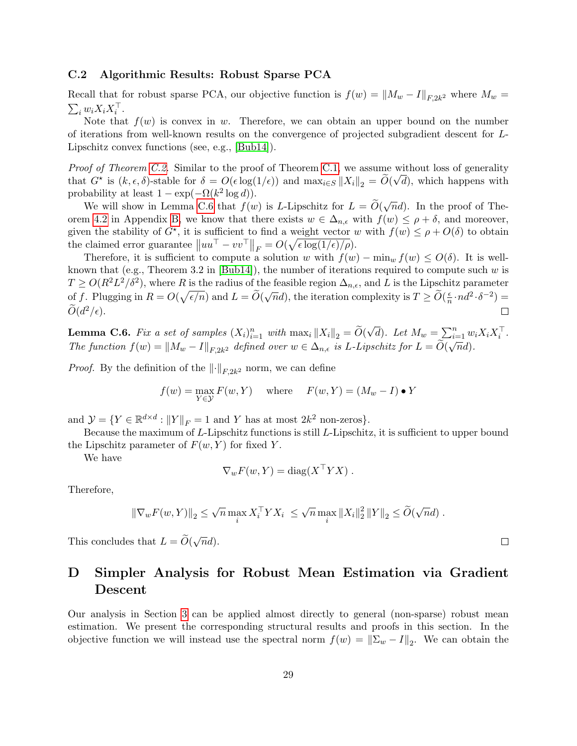### C.2 Algorithmic Results: Robust Sparse PCA

Recall that for robust sparse PCA, our objective function is  $f(w) = ||M_w - I||_{F,2k^2}$  where  $M_w =$  $\sum_i w_i X_i X_i^{\top}$ .

Note that  $f(w)$  is convex in w. Therefore, we can obtain an upper bound on the number of iterations from well-known results on the convergence of projected subgradient descent for L-Lipschitz convex functions (see, e.g., [\[Bub14\]](#page-13-12)).

*Proof of Theorem [C.2.](#page-25-3)* Similar to the proof of Theorem [C.1,](#page-25-2) we assume without loss of generality that  $G^*$  is  $(k, \epsilon, \delta)$ -stable for  $\delta = O(\epsilon \log(1/\epsilon))$  and  $\max_{i \in S} ||X_i||_2 = O(\sqrt{d})$ , which happens with probability at least  $1 - \exp(-\Omega(k^2 \log d)).$ 

We will show in Lemma [C.6](#page-29-0) that  $f(w)$  is L-Lipschitz for  $L = \widetilde{O}(\sqrt{n}d)$ . In the proof of The-orem [4.2](#page-10-2) in Appendix [B,](#page-21-0) we know that there exists  $w \in \Delta_{n,\epsilon}$  with  $f(w) \leq \rho + \delta$ , and moreover, given the stability of  $G^*$ , it is sufficient to find a weight vector w with  $f(w) \leq \rho + O(\delta)$  to obtain the claimed error guarantee  $||uu^{\top} - vv^{\top}||_F = O(\sqrt{\epsilon \log(1/\epsilon)/\rho}).$ 

Therefore, it is sufficient to compute a solution w with  $f(w) - \min_w f(w) \le O(\delta)$ . It is well-known that (e.g., Theorem 3.2 in [\[Bub14\]](#page-13-12)), the number of iterations required to compute such  $w$  is  $T \ge O(R^2L^2/\delta^2)$ , where R is the radius of the feasible region  $\Delta_{n,\epsilon}$ , and L is the Lipschitz parameter of f. Plugging in  $R = O(\sqrt{\epsilon/n})$  and  $L = \widetilde{O}(\sqrt{n}d)$ , the iteration complexity is  $T \geq \widetilde{O}(\frac{\epsilon}{n})$  $\frac{\epsilon}{n} \cdot nd^2 \cdot \delta^{-2}$ ) =  $\widetilde{O}(d^2/\epsilon).$ 

<span id="page-29-0"></span>**Lemma C.6.** Fix a set of samples  $(X_i)_{i=1}^n$  with  $\max_i ||X_i||_2 = \widetilde{O}(\frac{1}{n})$ √  $\overline{d}$ ). Let  $M_w = \sum_{i=1}^n w_i X_i X_i^{\top}$ . The function  $f(w) = ||M_w - I||_{F,2k^2}$  defined over  $w \in \Delta_{n,\epsilon}$  is L-Lipschitz for  $L = O(\sqrt{n}d)$ .

*Proof.* By the definition of the  $\|\cdot\|_{F,2k^2}$  norm, we can define

$$
f(w) = \max_{Y \in \mathcal{Y}} F(w, Y) \quad \text{where} \quad F(w, Y) = (M_w - I) \bullet Y
$$

and  $\mathcal{Y} = \{ Y \in \mathbb{R}^{d \times d} : ||Y||_F = 1 \text{ and } Y \text{ has at most } 2k^2 \text{ non-zeros} \}.$ 

Because the maximum of L-Lipschitz functions is still L-Lipschitz, it is sufficient to upper bound the Lipschitz parameter of  $F(w, Y)$  for fixed Y.

We have

$$
\nabla_w F(w, Y) = \text{diag}(X^\top Y X) .
$$

Therefore,

$$
\|\nabla_w F(w, Y)\|_2 \le \sqrt{n} \max_i X_i^{\top} Y X_i \le \sqrt{n} \max_i \|X_i\|_2^2 \|Y\|_2 \le \widetilde{O}(\sqrt{n}d) .
$$

This concludes that  $L = \widetilde{O}(\sqrt{n}d)$ .

# D Simpler Analysis for Robust Mean Estimation via Gradient Descent

Our analysis in Section [3](#page-6-1) can be applied almost directly to general (non-sparse) robust mean estimation. We present the corresponding structural results and proofs in this section. In the objective function we will instead use the spectral norm  $f(w) = ||\Sigma_w - I||_2$ . We can obtain the

 $\Box$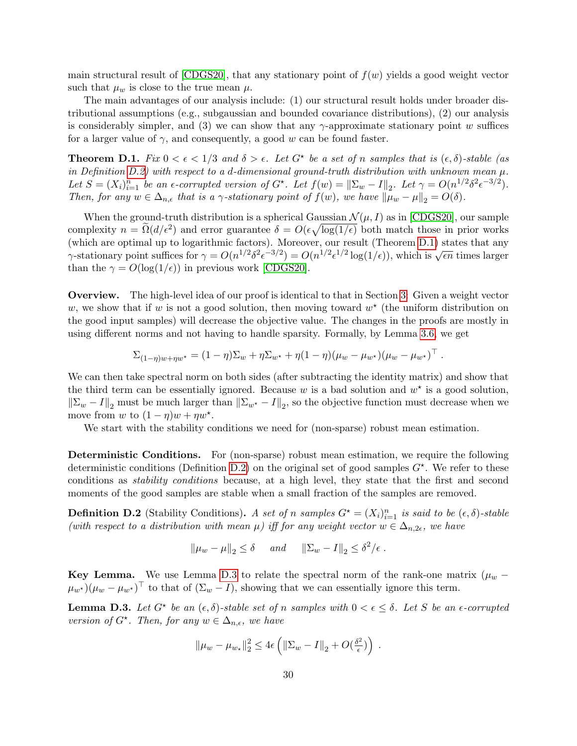main structural result of  $[CDGS20]$ , that any stationary point of  $f(w)$  yields a good weight vector such that  $\mu_w$  is close to the true mean  $\mu$ .

The main advantages of our analysis include: (1) our structural result holds under broader distributional assumptions (e.g., subgaussian and bounded covariance distributions), (2) our analysis is considerably simpler, and (3) we can show that any  $\gamma$ -approximate stationary point w suffices for a larger value of  $\gamma$ , and consequently, a good w can be found faster.

<span id="page-30-1"></span>**Theorem D.1.** Fix  $0 < \epsilon < 1/3$  and  $\delta > \epsilon$ . Let  $G^*$  be a set of n samples that is  $(\epsilon, \delta)$ -stable (as in Definition [D.2\)](#page-30-0) with respect to a d-dimensional ground-truth distribution with unknown mean  $\mu$ . Let  $S = (X_i)_{i=1}^n$  be an  $\epsilon$ -corrupted version of  $G^*$ . Let  $f(w) = ||\Sigma_w - I||_2$ . Let  $\gamma = O(n^{1/2} \delta^2 \epsilon^{-3/2})$ . Then, for any  $w \in \Delta_{n,\epsilon}$  that is a  $\gamma$ -stationary point of  $f(w)$ , we have  $\|\mu_w - \mu\|_2 = O(\delta)$ .

When the ground-truth distribution is a spherical Gaussian  $\mathcal{N}(\mu, I)$  as in [\[CDGS20\]](#page-13-6), our sample complexity  $n = \tilde{\Omega}(d/\epsilon^2)$  and error guarantee  $\delta = O(\epsilon \sqrt{\log(1/\epsilon)})$  both match those in prior works (which are optimal up to logarithmic factors). Moreover, our result (Theorem [D.1\)](#page-30-1) states that any (which are optimal up to logarithmic factors). Moreover, our result (Theorem D.1) states that any  $\gamma$ -stationary point suffices for  $\gamma = O(n^{1/2} \delta^2 \epsilon^{-3/2}) = O(n^{1/2} \epsilon^{1/2} \log(1/\epsilon))$ , which is  $\sqrt{\epsilon n}$  times larger than the  $\gamma = O(\log(1/\epsilon))$  in previous work [\[CDGS20\]](#page-13-6).

Overview. The high-level idea of our proof is identical to that in Section [3:](#page-6-1) Given a weight vector w, we show that if w is not a good solution, then moving toward  $w^*$  (the uniform distribution on the good input samples) will decrease the objective value. The changes in the proofs are mostly in using different norms and not having to handle sparsity. Formally, by Lemma [3.6,](#page-8-0) we get

$$
\Sigma_{(1-\eta)w+\eta w^*} = (1-\eta)\Sigma_w + \eta \Sigma_{w^*} + \eta(1-\eta)(\mu_w - \mu_{w^*})(\mu_w - \mu_{w^*})^\top.
$$

We can then take spectral norm on both sides (after subtracting the identity matrix) and show that the third term can be essentially ignored. Because  $w$  is a bad solution and  $w^*$  is a good solution,  $\|\Sigma_w - I\|_2$  must be much larger than  $\|\Sigma_{w^*} - I\|_2$ , so the objective function must decrease when we move from w to  $(1 - \eta)w + \eta w^*$ .

We start with the stability conditions we need for (non-sparse) robust mean estimation.

Deterministic Conditions. For (non-sparse) robust mean estimation, we require the following deterministic conditions (Definition [D.2\)](#page-30-0) on the original set of good samples  $G^*$ . We refer to these conditions as stability conditions because, at a high level, they state that the first and second moments of the good samples are stable when a small fraction of the samples are removed.

<span id="page-30-0"></span>**Definition D.2** (Stability Conditions). A set of n samples  $G^* = (X_i)_{i=1}^n$  is said to be  $(\epsilon, \delta)$ -stable (with respect to a distribution with mean  $\mu$ ) iff for any weight vector  $w \in \Delta_{n,2\epsilon}$ , we have

$$
\|\mu_w - \mu\|_2 \le \delta \quad \text{and} \quad \|\Sigma_w - I\|_2 \le \delta^2/\epsilon.
$$

Key Lemma. We use Lemma [D.3](#page-30-2) to relate the spectral norm of the rank-one matrix  $(\mu_w (\mu_{w^*})(\mu_w - \mu_{w^*})^{\top}$  to that of  $(\Sigma_w - I)$ , showing that we can essentially ignore this term.

<span id="page-30-2"></span>**Lemma D.3.** Let  $G^*$  be an  $(\epsilon, \delta)$ -stable set of n samples with  $0 < \epsilon \leq \delta$ . Let S be an  $\epsilon$ -corrupted version of  $G^*$ . Then, for any  $w \in \Delta_{n,\epsilon}$ , we have

$$
\|\mu_w - \mu_{w_{\star}}\|_2^2 \le 4\epsilon \left( \|\Sigma_w - I\|_2 + O(\tfrac{\delta^2}{\epsilon}) \right) .
$$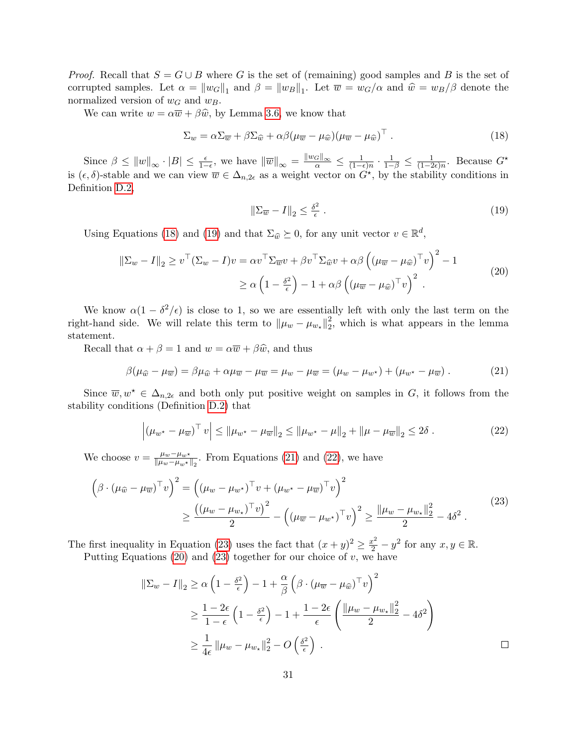*Proof.* Recall that  $S = G \cup B$  where G is the set of (remaining) good samples and B is the set of corrupted samples. Let  $\alpha = ||w_G||_1$  and  $\beta = ||w_B||_1$ . Let  $\overline{w} = w_G/\alpha$  and  $\hat{w} = w_B/\beta$  denote the normalized version of  $w_G$  and  $w_B$ .

We can write  $w = \alpha \overline{w} + \beta \hat{w}$ , by Lemma [3.6,](#page-8-0) we know that

$$
\Sigma_w = \alpha \Sigma_{\overline{w}} + \beta \Sigma_{\widehat{w}} + \alpha \beta (\mu_{\overline{w}} - \mu_{\widehat{w}}) (\mu_{\overline{w}} - \mu_{\widehat{w}})^{\top} . \tag{18}
$$

Since  $\beta \leq ||w||_{\infty} \cdot |B| \leq \frac{\epsilon}{1-\epsilon}$ , we have  $||\overline{w}||_{\infty} = \frac{||w_G||_{\infty}}{\alpha} \leq \frac{1}{(1-\epsilon)}$  $\frac{1}{(1-\epsilon)n} \cdot \frac{1}{1-\beta} \leq \frac{1}{(1-2)}$  $\frac{1}{(1-2\epsilon)n}$ . Because  $G^*$ is  $(\epsilon, \delta)$ -stable and we can view  $\overline{w} \in \Delta_{n,2\epsilon}$  as a weight vector on  $G^*$ , by the stability conditions in Definition [D.2,](#page-30-0)

<span id="page-31-5"></span><span id="page-31-3"></span><span id="page-31-2"></span><span id="page-31-1"></span><span id="page-31-0"></span>
$$
\|\Sigma_{\overline{w}} - I\|_2 \le \frac{\delta^2}{\epsilon} \,. \tag{19}
$$

Using Equations [\(18\)](#page-31-0) and [\(19\)](#page-31-1) and that  $\Sigma_{\hat{w}} \succeq 0$ , for any unit vector  $v \in \mathbb{R}^d$ ,

$$
\|\Sigma_w - I\|_2 \ge v^\top (\Sigma_w - I)v = \alpha v^\top \Sigma_{\overline{w}} v + \beta v^\top \Sigma_{\widehat{w}} v + \alpha \beta \left( (\mu_{\overline{w}} - \mu_{\widehat{w}})^\top v \right)^2 - 1
$$
  
 
$$
\ge \alpha \left( 1 - \frac{\delta^2}{\epsilon} \right) - 1 + \alpha \beta \left( (\mu_{\overline{w}} - \mu_{\widehat{w}})^\top v \right)^2.
$$
 (20)

We know  $\alpha(1-\delta^2/\epsilon)$  is close to 1, so we are essentially left with only the last term on the right-hand side. We will relate this term to  $\|\mu_w - \mu_{w_*}\|_2^2$  $2<sub>2</sub>$ , which is what appears in the lemma statement.

Recall that  $\alpha + \beta = 1$  and  $w = \alpha \overline{w} + \beta \hat{w}$ , and thus

$$
\beta(\mu_{\widehat{w}} - \mu_{\overline{w}}) = \beta \mu_{\widehat{w}} + \alpha \mu_{\overline{w}} - \mu_{\overline{w}} = \mu_w - \mu_{\overline{w}} = (\mu_w - \mu_{w^*}) + (\mu_{w^*} - \mu_{\overline{w}}). \tag{21}
$$

Since  $\overline{w}, w^* \in \Delta_{n,2\epsilon}$  and both only put positive weight on samples in G, it follows from the stability conditions (Definition [D.2\)](#page-30-0) that

<span id="page-31-4"></span>
$$
\left| (\mu_{w^*} - \mu_{\overline{w}})^{\top} v \right| \leq \|\mu_{w^*} - \mu_{\overline{w}}\|_2 \leq \|\mu_{w^*} - \mu\|_2 + \|\mu - \mu_{\overline{w}}\|_2 \leq 2\delta.
$$
 (22)

We choose  $v = \frac{\mu_w - \mu_w \star}{\|\mu_w - \mu_w\star\|}$  $\frac{\mu_w-\mu_{w^*}}{\|\mu_w-\mu_{w^*}\|_2}$ . From Equations [\(21\)](#page-31-2) and [\(22\)](#page-31-3), we have

$$
\left(\beta \cdot (\mu_{\widehat{w}} - \mu_{\overline{w}})^{\top} v\right)^{2} = \left((\mu_{w} - \mu_{w^{*}})^{\top} v + (\mu_{w^{*}} - \mu_{\overline{w}})^{\top} v\right)^{2}
$$

$$
\geq \frac{\left((\mu_{w} - \mu_{w_{*}})^{\top} v\right)^{2}}{2} - \left((\mu_{\overline{w}} - \mu_{w^{*}})^{\top} v\right)^{2} \geq \frac{\|\mu_{w} - \mu_{w_{*}}\|_{2}^{2}}{2} - 4\delta^{2}.
$$

$$
(23)
$$

The first inequality in Equation [\(23\)](#page-31-4) uses the fact that  $(x + y)^2 \ge \frac{x^2}{2} - y^2$  for any  $x, y \in \mathbb{R}$ .

Putting Equations [\(20\)](#page-31-5) and [\(23\)](#page-31-4) together for our choice of  $v$ , we have

$$
\|\Sigma_{w} - I\|_{2} \geq \alpha \left(1 - \frac{\delta^{2}}{\epsilon}\right) - 1 + \frac{\alpha}{\beta} \left(\beta \cdot (\mu_{\overline{w}} - \mu_{\widehat{w}})^{\top} v\right)^{2}
$$
  

$$
\geq \frac{1 - 2\epsilon}{1 - \epsilon} \left(1 - \frac{\delta^{2}}{\epsilon}\right) - 1 + \frac{1 - 2\epsilon}{\epsilon} \left(\frac{\|\mu_{w} - \mu_{w_{\star}}\|_{2}^{2}}{2} - 4\delta^{2}\right)
$$
  

$$
\geq \frac{1}{4\epsilon} \|\mu_{w} - \mu_{w_{\star}}\|_{2}^{2} - O\left(\frac{\delta^{2}}{\epsilon}\right).
$$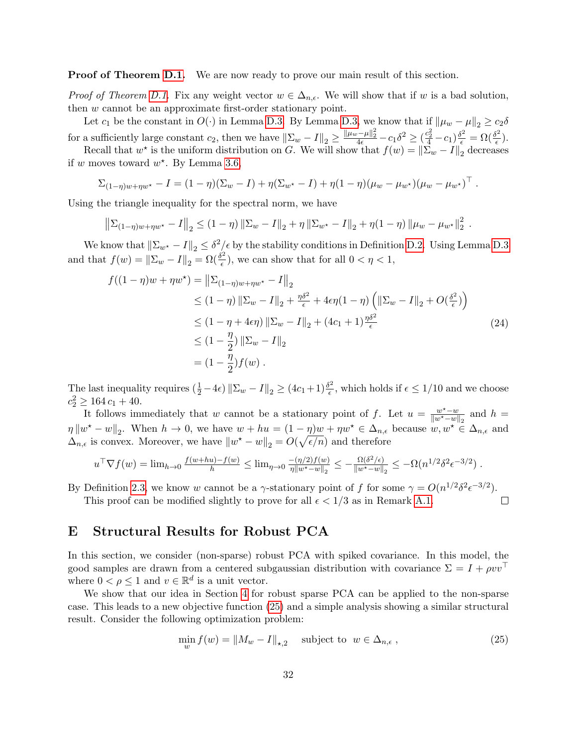**Proof of Theorem [D.1.](#page-30-1)** We are now ready to prove our main result of this section.

*Proof of Theorem [D.1.](#page-30-1)* Fix any weight vector  $w \in \Delta_{n,\epsilon}$ . We will show that if w is a bad solution, then w cannot be an approximate first-order stationary point.

Let  $c_1$  be the constant in  $O(\cdot)$  in Lemma [D.3.](#page-30-2) By Lemma [D.3,](#page-30-2) we know that if  $\|\mu_w - \mu\|_2 \geq c_2 \delta$ for a sufficiently large constant  $c_2$ , then we have  $\|\Sigma_w - I\|_2 \ge \frac{\|\mu_w - \mu\|_2^2}{4\epsilon} - c_1 \delta^2 \ge (\frac{c_2^2}{4} - c_1) \frac{\delta^2}{\epsilon} = \Omega(\frac{\delta^2}{\epsilon})$  $\frac{\partial^2}{\partial \epsilon}\Big).$ 

Recall that  $w^*$  is the uniform distribution on G. We will show that  $f(w) = ||\Sigma_w - I||_2$  decreases if w moves toward  $w^*$ . By Lemma [3.6,](#page-8-0)

$$
\Sigma_{(1-\eta)w+\eta w^*} - I = (1-\eta)(\Sigma_w - I) + \eta(\Sigma_{w^*} - I) + \eta(1-\eta)(\mu_w - \mu_{w^*})(\mu_w - \mu_{w^*})^\top.
$$

Using the triangle inequality for the spectral norm, we have

$$
\left\|\Sigma_{(1-\eta)w+\eta w^*} - I\right\|_2 \leq (1-\eta) \left\|\Sigma_w - I\right\|_2 + \eta \left\|\Sigma_{w^*} - I\right\|_2 + \eta (1-\eta) \left\|\mu_w - \mu_{w^*}\right\|_2^2.
$$

We know that  $\|\Sigma_{w^*} - I\|_2 \leq \delta^2 \leq \epsilon$  by the stability conditions in Definition [D.2.](#page-30-0) Using Lemma [D.3](#page-30-2) and that  $f(w) = ||\Sigma_w - I||_2 = \Omega(\frac{\delta^2}{\epsilon})$  $(\frac{\mu}{\epsilon})$ , we can show that for all  $0 < \eta < 1$ ,

$$
f((1 - \eta)w + \eta w^*) = ||\Sigma_{(1 - \eta)w + \eta w^*} - I||_2
$$
  
\n
$$
\leq (1 - \eta) ||\Sigma_w - I||_2 + \frac{\eta \delta^2}{\epsilon} + 4\epsilon \eta (1 - \eta) \left( ||\Sigma_w - I||_2 + O(\frac{\delta^2}{\epsilon}) \right)
$$
  
\n
$$
\leq (1 - \eta + 4\epsilon \eta) ||\Sigma_w - I||_2 + (4c_1 + 1)\frac{\eta \delta^2}{\epsilon}
$$
  
\n
$$
\leq (1 - \frac{\eta}{2}) ||\Sigma_w - I||_2
$$
  
\n
$$
= (1 - \frac{\eta}{2}) f(w).
$$
 (24)

The last inequality requires  $(\frac{1}{2} - 4\epsilon) \|\Sigma_w - I\|_2 \ge (4c_1 + 1)\frac{\delta^2}{\epsilon}$  $\frac{\partial^2}{\partial \epsilon}$ , which holds if  $\epsilon \leq 1/10$  and we choose  $c_2^2 \ge 164 c_1 + 40.$ 

It follows immediately that w cannot be a stationary point of f. Let  $u = \frac{w^* - w}{\|w^* - w\|}$  $\frac{w^{\star}-w}{\|w^{\star}-w\|_2}$  and  $h =$  $\eta \|w^* - w\|_2$ . When  $h \to 0$ , we have  $w + hu = (1 - \eta)w + \eta w^* \in \Delta_{n,\epsilon}$  because  $w, w^* \in \Delta_{n,\epsilon}$  and  $\Delta_{n,\epsilon}$  is convex. Moreover, we have  $||w^* - w||_2 = O(\sqrt{\epsilon/n})$  and therefore

$$
u^{\top} \nabla f(w) = \lim_{h \to 0} \frac{f(w + hu) - f(w)}{h} \le \lim_{\eta \to 0} \frac{-(\eta/2) f(w)}{\eta \|w^* - w\|_2} \le -\frac{\Omega(\delta^2/\epsilon)}{\|w^* - w\|_2} \le -\Omega(n^{1/2} \delta^2 \epsilon^{-3/2}).
$$

By Definition [2.3,](#page-6-5) we know w cannot be a  $\gamma$ -stationary point of f for some  $\gamma = O(n^{1/2} \delta^2 \epsilon^{-3/2})$ .

This proof can be modified slightly to prove for all  $\epsilon < 1/3$  as in Remark [A.1.](#page-17-0)

### E Structural Results for Robust PCA

In this section, we consider (non-sparse) robust PCA with spiked covariance. In this model, the good samples are drawn from a centered subgaussian distribution with covariance  $\Sigma = I + \rho v v^{\top}$ where  $0 < \rho \leq 1$  and  $v \in \mathbb{R}^d$  is a unit vector.

We show that our idea in Section [4](#page-9-0) for robust sparse PCA can be applied to the non-sparse case. This leads to a new objective function [\(25\)](#page-32-0) and a simple analysis showing a similar structural result. Consider the following optimization problem:

$$
\min_{w} f(w) = \|M_w - I\|_{\star,2} \quad \text{subject to } w \in \Delta_{n,\epsilon},\tag{25}
$$

<span id="page-32-0"></span> $\Box$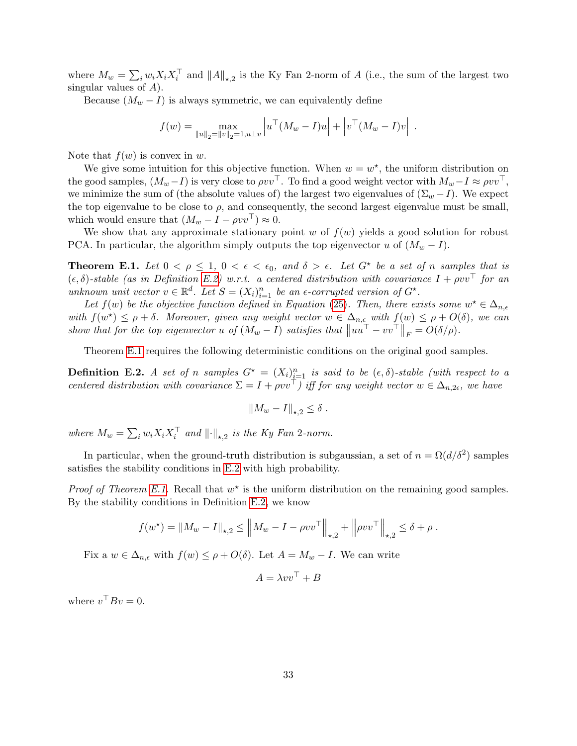where  $M_w = \sum_i w_i X_i X_i^{\top}$  and  $||A||_{\star,2}$  is the Ky Fan 2-norm of A (i.e., the sum of the largest two singular values of  $A$ ).

Because  $(M_w - I)$  is always symmetric, we can equivalently define

$$
f(w) = \max_{\|u\|_2 = \|v\|_2 = 1, u \perp v} \left| u^\top (M_w - I) u \right| + \left| v^\top (M_w - I) v \right|.
$$

Note that  $f(w)$  is convex in w.

We give some intuition for this objective function. When  $w = w^*$ , the uniform distribution on the good samples,  $(M_w-I)$  is very close to  $\rho vv^{\top}$ . To find a good weight vector with  $M_w-I \approx \rho vv^{\top}$ , we minimize the sum of (the absolute values of) the largest two eigenvalues of  $(\Sigma_w - I)$ . We expect the top eigenvalue to be close to  $\rho$ , and consequently, the second largest eigenvalue must be small, which would ensure that  $(M_w - I - \rho vv^{\top}) \approx 0$ .

We show that any approximate stationary point  $w$  of  $f(w)$  yields a good solution for robust PCA. In particular, the algorithm simply outputs the top eigenvector u of  $(M_w - I)$ .

<span id="page-33-1"></span>**Theorem E.1.** Let  $0 < \rho \leq 1$ ,  $0 < \epsilon < \epsilon_0$ , and  $\delta > \epsilon$ . Let  $G^*$  be a set of n samples that is  $(\epsilon, \delta)$ -stable (as in Definition [E.2\)](#page-33-0) w.r.t. a centered distribution with covariance  $I + \rho v v^{\top}$  for an unknown unit vector  $v \in \mathbb{R}^d$ . Let  $S = (X_i)_{i=1}^n$  be an  $\epsilon$ -corrupted version of  $G^*$ .

Let  $f(w)$  be the objective function defined in Equation [\(25\)](#page-32-0). Then, there exists some  $w^* \in \Delta_{n,\epsilon}$ with  $f(w^*) \leq \rho + \delta$ . Moreover, given any weight vector  $w \in \Delta_{n,\epsilon}$  with  $f(w) \leq \rho + O(\delta)$ , we can show that for the top eigenvector u of  $(M_w - I)$  satisfies that  $||uu<sup>T</sup> - vv<sup>T</sup>||_F = O(\delta/\rho)$ .

Theorem [E.1](#page-33-1) requires the following deterministic conditions on the original good samples.

<span id="page-33-0"></span>**Definition E.2.** A set of n samples  $G^* = (X_i)_{i=1}^n$  is said to be  $(\epsilon, \delta)$ -stable (with respect to a centered distribution with covariance  $\Sigma = I + \rho v v^{\top}$ ) iff for any weight vector  $w \in \Delta_{n,2\epsilon}$ , we have

$$
||M_w - I||_{\star,2} \leq \delta.
$$

where  $M_w = \sum_i w_i X_i X_i^{\top}$  and  $||\cdot||_{\star,2}$  is the Ky Fan 2-norm.

In particular, when the ground-truth distribution is subgaussian, a set of  $n = \Omega(d/\delta^2)$  samples satisfies the stability conditions in [E.2](#page-33-0) with high probability.

*Proof of Theorem [E.1.](#page-33-1)* Recall that  $w^*$  is the uniform distribution on the remaining good samples. By the stability conditions in Definition [E.2,](#page-33-0) we know

$$
f(w^*) = ||M_w - I||_{\star,2} \le ||M_w - I - \rho vv^\top||_{\star,2} + ||\rho vv^\top||_{\star,2} \le \delta + \rho.
$$

Fix a  $w \in \Delta_{n,\epsilon}$  with  $f(w) \leq \rho + O(\delta)$ . Let  $A = M_w - I$ . We can write

$$
A = \lambda v v^\top + B
$$

where  $v^{\top} B v = 0$ .